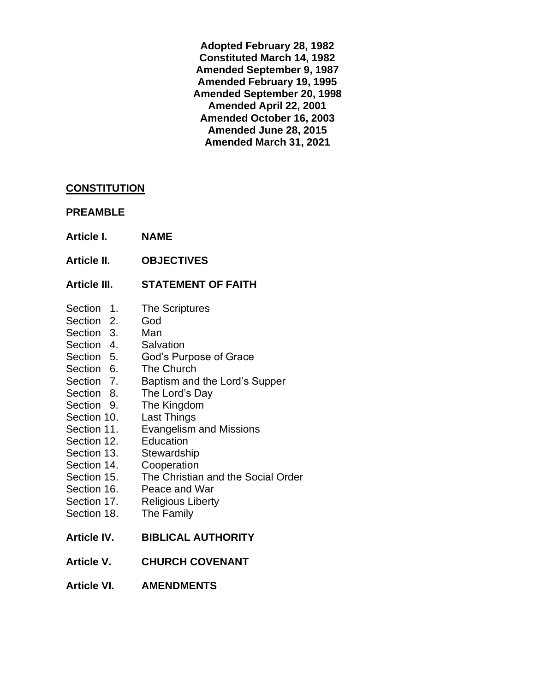**Adopted February 28, 1982 Constituted March 14, 1982 Amended September 9, 1987 Amended February 19, 1995 Amended September 20, 1998 Amended April 22, 2001 Amended October 16, 2003 Amended June 28, 2015 Amended March 31, 2021**

### **CONSTITUTION**

#### **PREAMBLE**

- **Article I. NAME**
- **Article II. OBJECTIVES**

## **Article III. STATEMENT OF FAITH**

- Section 1. The Scriptures
- Section 2. God
- Section 3. Man
- Section 4. Salvation
- Section 5. God's Purpose of Grace
- Section 6. The Church
- Section 7. Baptism and the Lord's Supper
- Section 8. The Lord's Day
- Section 9. The Kingdom
- Section 10. Last Things
- Section 11. Evangelism and Missions
- Section 12. Education
- Section 13. Stewardship
- Section 14. Cooperation
- Section 15. The Christian and the Social Order
- Section 16. Peace and War
- Section 17. Religious Liberty
- Section 18. The Family
- **Article IV. BIBLICAL AUTHORITY**
- **Article V. CHURCH COVENANT**
- **Article VI. AMENDMENTS**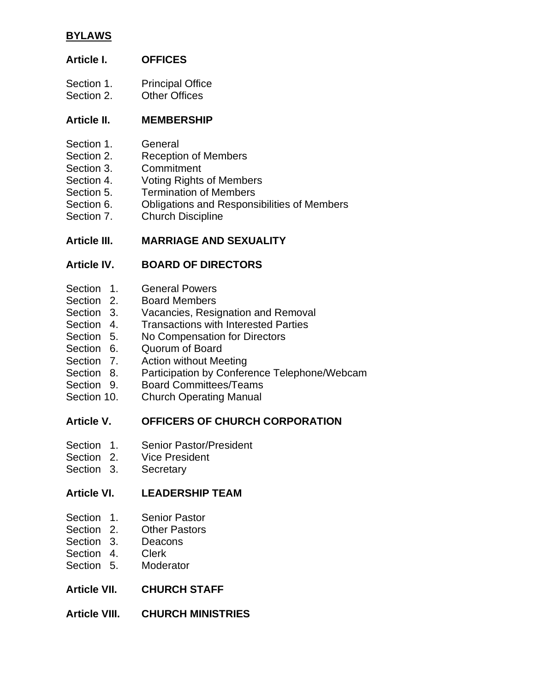## **BYLAWS**

## **Article I. OFFICES**

- Section 1. Principal Office
- Section 2. Other Offices

## **Article II. MEMBERSHIP**

- Section 1. General
- Section 2. Reception of Members
- Section 3. Commitment
- Section 4. Voting Rights of Members
- Section 5. Termination of Members
- Section 6. Obligations and Responsibilities of Members
- Section 7. Church Discipline

## **Article III. MARRIAGE AND SEXUALITY**

## **Article IV. BOARD OF DIRECTORS**

- Section 1. General Powers
- Section 2. Board Members
- Section 3. Vacancies, Resignation and Removal
- Section 4. Transactions with Interested Parties
- Section 5. No Compensation for Directors
- Section 6. Quorum of Board
- Section 7. Action without Meeting
- Section 8. Participation by Conference Telephone/Webcam
- Section 9. Board Committees/Teams
- Section 10. Church Operating Manual

## **Article V. OFFICERS OF CHURCH CORPORATION**

- Section 1. Senior Pastor/President
- Section 2. Vice President
- Section 3. Secretary

## **Article VI. LEADERSHIP TEAM**

- Section 1. Senior Pastor
- Section 2. Other Pastors
- Section 3. Deacons
- Section 4. Clerk
- Section 5. Moderator
- **Article VII. CHURCH STAFF**

## **Article VIII. CHURCH MINISTRIES**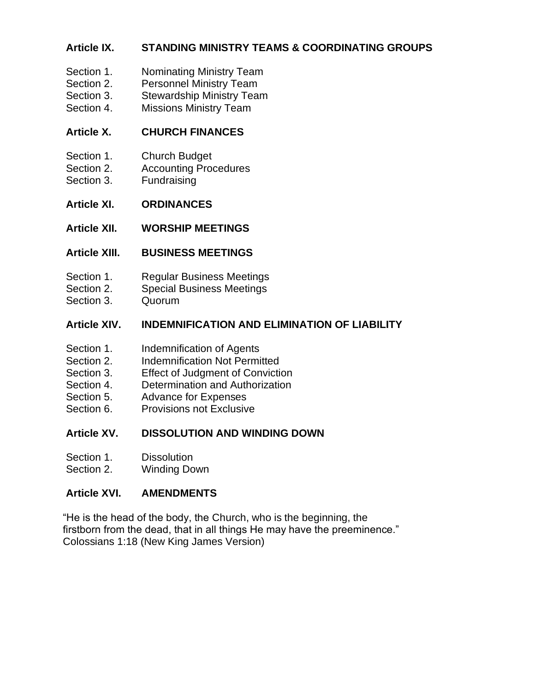## **Article IX. STANDING MINISTRY TEAMS & COORDINATING GROUPS**

- Section 1. Nominating Ministry Team
- Section 2. Personnel Ministry Team
- Section 3. Stewardship Ministry Team
- Section 4. Missions Ministry Team

## **Article X. CHURCH FINANCES**

- Section 1. Church Budget
- Section 2. Accounting Procedures
- Section 3. Fundraising
- **Article XI. ORDINANCES**
- **Article XII. WORSHIP MEETINGS**

## **Article XIII. BUSINESS MEETINGS**

- Section 1. Regular Business Meetings
- Section 2. Special Business Meetings
- Section 3. Quorum

## **Article XIV. INDEMNIFICATION AND ELIMINATION OF LIABILITY**

- Section 1. **Indemnification of Agents**
- Section 2. Indemnification Not Permitted
- Section 3. Effect of Judgment of Conviction
- Section 4. Determination and Authorization
- Section 5. Advance for Expenses
- Section 6. Provisions not Exclusive

## **Article XV. DISSOLUTION AND WINDING DOWN**

- Section 1. Dissolution
- Section 2. Winding Down

## **Article XVI. AMENDMENTS**

"He is the head of the body, the Church, who is the beginning, the firstborn from the dead, that in all things He may have the preeminence." Colossians 1:18 (New King James Version)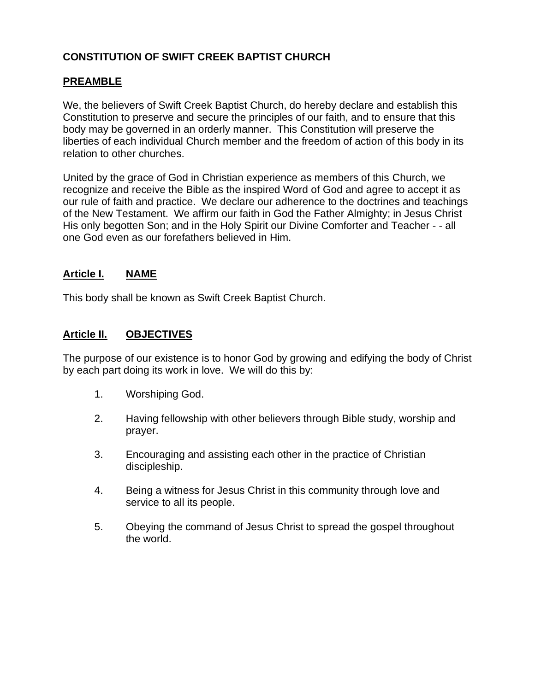## **CONSTITUTION OF SWIFT CREEK BAPTIST CHURCH**

### **PREAMBLE**

We, the believers of Swift Creek Baptist Church, do hereby declare and establish this Constitution to preserve and secure the principles of our faith, and to ensure that this body may be governed in an orderly manner. This Constitution will preserve the liberties of each individual Church member and the freedom of action of this body in its relation to other churches.

United by the grace of God in Christian experience as members of this Church, we recognize and receive the Bible as the inspired Word of God and agree to accept it as our rule of faith and practice. We declare our adherence to the doctrines and teachings of the New Testament. We affirm our faith in God the Father Almighty; in Jesus Christ His only begotten Son; and in the Holy Spirit our Divine Comforter and Teacher - - all one God even as our forefathers believed in Him.

### **Article I. NAME**

This body shall be known as Swift Creek Baptist Church.

### **Article II. OBJECTIVES**

The purpose of our existence is to honor God by growing and edifying the body of Christ by each part doing its work in love. We will do this by:

- 1. Worshiping God.
- 2. Having fellowship with other believers through Bible study, worship and prayer.
- 3. Encouraging and assisting each other in the practice of Christian discipleship.
- 4. Being a witness for Jesus Christ in this community through love and service to all its people.
- 5. Obeying the command of Jesus Christ to spread the gospel throughout the world.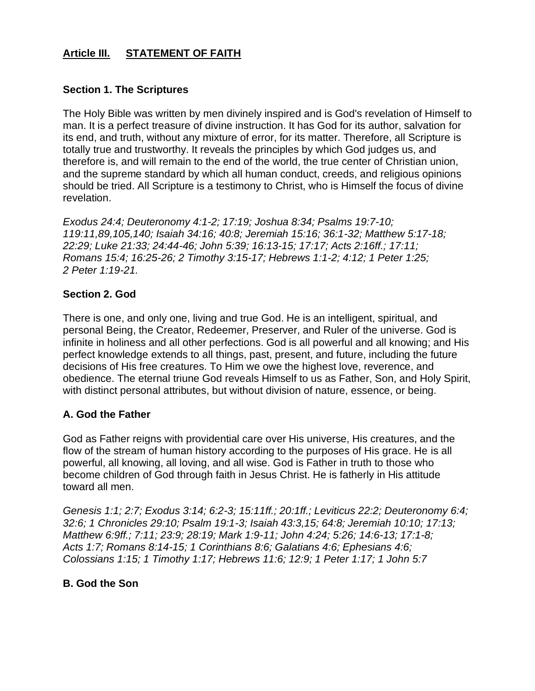## **Article III. STATEMENT OF FAITH**

#### **Section 1. The Scriptures**

The Holy Bible was written by men divinely inspired and is God's revelation of Himself to man. It is a perfect treasure of divine instruction. It has God for its author, salvation for its end, and truth, without any mixture of error, for its matter. Therefore, all Scripture is totally true and trustworthy. It reveals the principles by which God judges us, and therefore is, and will remain to the end of the world, the true center of Christian union, and the supreme standard by which all human conduct, creeds, and religious opinions should be tried. All Scripture is a testimony to Christ, who is Himself the focus of divine revelation.

*Exodus 24:4; Deuteronomy 4:1-2; 17:19; Joshua 8:34; Psalms 19:7-10; 119:11,89,105,140; Isaiah 34:16; 40:8; Jeremiah 15:16; 36:1-32; Matthew 5:17-18; 22:29; Luke 21:33; 24:44-46; John 5:39; 16:13-15; 17:17; Acts 2:16ff.; 17:11; Romans 15:4; 16:25-26; 2 Timothy 3:15-17; Hebrews 1:1-2; 4:12; 1 Peter 1:25; 2 Peter 1:19-21.*

#### **Section 2. God**

There is one, and only one, living and true God. He is an intelligent, spiritual, and personal Being, the Creator, Redeemer, Preserver, and Ruler of the universe. God is infinite in holiness and all other perfections. God is all powerful and all knowing; and His perfect knowledge extends to all things, past, present, and future, including the future decisions of His free creatures. To Him we owe the highest love, reverence, and obedience. The eternal triune God reveals Himself to us as Father, Son, and Holy Spirit, with distinct personal attributes, but without division of nature, essence, or being.

## **A. God the Father**

God as Father reigns with providential care over His universe, His creatures, and the flow of the stream of human history according to the purposes of His grace. He is all powerful, all knowing, all loving, and all wise. God is Father in truth to those who become children of God through faith in Jesus Christ. He is fatherly in His attitude toward all men.

*Genesis 1:1; 2:7; Exodus 3:14; 6:2-3; 15:11ff.; 20:1ff.; Leviticus 22:2; Deuteronomy 6:4; 32:6; 1 Chronicles 29:10; Psalm 19:1-3; Isaiah 43:3,15; 64:8; Jeremiah 10:10; 17:13; Matthew 6:9ff.; 7:11; 23:9; 28:19; Mark 1:9-11; John 4:24; 5:26; 14:6-13; 17:1-8; Acts 1:7; Romans 8:14-15; 1 Corinthians 8:6; Galatians 4:6; Ephesians 4:6; Colossians 1:15; 1 Timothy 1:17; Hebrews 11:6; 12:9; 1 Peter 1:17; 1 John 5:7*

## **B. God the Son**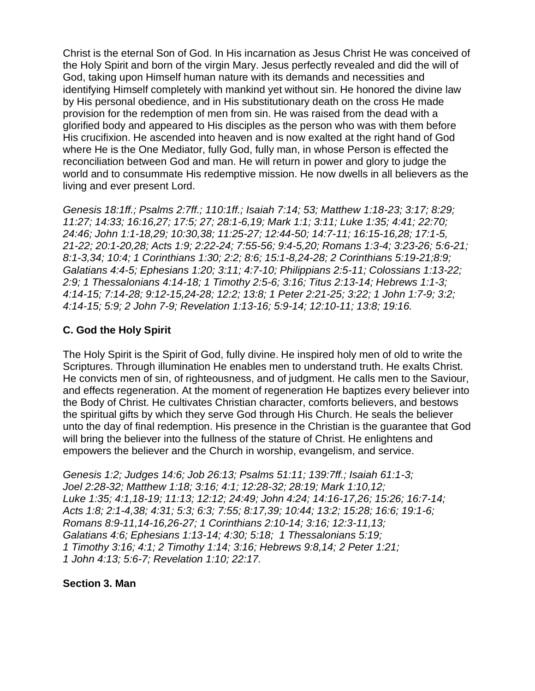Christ is the eternal Son of God. In His incarnation as Jesus Christ He was conceived of the Holy Spirit and born of the virgin Mary. Jesus perfectly revealed and did the will of God, taking upon Himself human nature with its demands and necessities and identifying Himself completely with mankind yet without sin. He honored the divine law by His personal obedience, and in His substitutionary death on the cross He made provision for the redemption of men from sin. He was raised from the dead with a glorified body and appeared to His disciples as the person who was with them before His crucifixion. He ascended into heaven and is now exalted at the right hand of God where He is the One Mediator, fully God, fully man, in whose Person is effected the reconciliation between God and man. He will return in power and glory to judge the world and to consummate His redemptive mission. He now dwells in all believers as the living and ever present Lord.

*Genesis 18:1ff.; Psalms 2:7ff.; 110:1ff.; Isaiah 7:14; 53; Matthew 1:18-23; 3:17; 8:29; 11:27; 14:33; 16:16,27; 17:5; 27; 28:1-6,19; Mark 1:1; 3:11; Luke 1:35; 4:41; 22:70; 24:46; John 1:1-18,29; 10:30,38; 11:25-27; 12:44-50; 14:7-11; 16:15-16,28; 17:1-5, 21-22; 20:1-20,28; Acts 1:9; 2:22-24; 7:55-56; 9:4-5,20; Romans 1:3-4; 3:23-26; 5:6-21; 8:1-3,34; 10:4; 1 Corinthians 1:30; 2:2; 8:6; 15:1-8,24-28; 2 Corinthians 5:19-21;8:9; Galatians 4:4-5; Ephesians 1:20; 3:11; 4:7-10; Philippians 2:5-11; Colossians 1:13-22; 2:9; 1 Thessalonians 4:14-18; 1 Timothy 2:5-6; 3:16; Titus 2:13-14; Hebrews 1:1-3; 4:14-15; 7:14-28; 9:12-15,24-28; 12:2; 13:8; 1 Peter 2:21-25; 3:22; 1 John 1:7-9; 3:2; 4:14-15; 5:9; 2 John 7-9; Revelation 1:13-16; 5:9-14; 12:10-11; 13:8; 19:16.*

## **C. God the Holy Spirit**

The Holy Spirit is the Spirit of God, fully divine. He inspired holy men of old to write the Scriptures. Through illumination He enables men to understand truth. He exalts Christ. He convicts men of sin, of righteousness, and of judgment. He calls men to the Saviour, and effects regeneration. At the moment of regeneration He baptizes every believer into the Body of Christ. He cultivates Christian character, comforts believers, and bestows the spiritual gifts by which they serve God through His Church. He seals the believer unto the day of final redemption. His presence in the Christian is the guarantee that God will bring the believer into the fullness of the stature of Christ. He enlightens and empowers the believer and the Church in worship, evangelism, and service.

*Genesis 1:2; Judges 14:6; Job 26:13; Psalms 51:11; 139:7ff.; Isaiah 61:1-3; Joel 2:28-32; Matthew 1:18; 3:16; 4:1; 12:28-32; 28:19; Mark 1:10,12; Luke 1:35; 4:1,18-19; 11:13; 12:12; 24:49; John 4:24; 14:16-17,26; 15:26; 16:7-14; Acts 1:8; 2:1-4,38; 4:31; 5:3; 6:3; 7:55; 8:17,39; 10:44; 13:2; 15:28; 16:6; 19:1-6; Romans 8:9-11,14-16,26-27; 1 Corinthians 2:10-14; 3:16; 12:3-11,13; Galatians 4:6; Ephesians 1:13-14; 4:30; 5:18; 1 Thessalonians 5:19; 1 Timothy 3:16; 4:1; 2 Timothy 1:14; 3:16; Hebrews 9:8,14; 2 Peter 1:21; 1 John 4:13; 5:6-7; Revelation 1:10; 22:17.*

#### **Section 3. Man**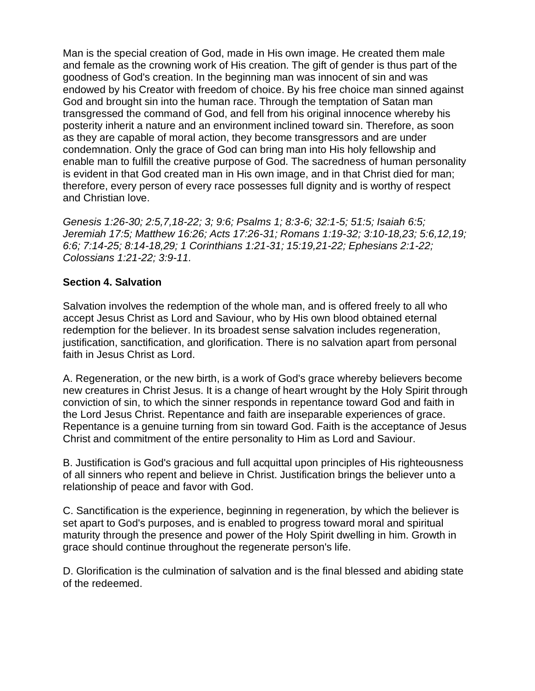Man is the special creation of God, made in His own image. He created them male and female as the crowning work of His creation. The gift of gender is thus part of the goodness of God's creation. In the beginning man was innocent of sin and was endowed by his Creator with freedom of choice. By his free choice man sinned against God and brought sin into the human race. Through the temptation of Satan man transgressed the command of God, and fell from his original innocence whereby his posterity inherit a nature and an environment inclined toward sin. Therefore, as soon as they are capable of moral action, they become transgressors and are under condemnation. Only the grace of God can bring man into His holy fellowship and enable man to fulfill the creative purpose of God. The sacredness of human personality is evident in that God created man in His own image, and in that Christ died for man; therefore, every person of every race possesses full dignity and is worthy of respect and Christian love.

*Genesis 1:26-30; 2:5,7,18-22; 3; 9:6; Psalms 1; 8:3-6; 32:1-5; 51:5; Isaiah 6:5; Jeremiah 17:5; Matthew 16:26; Acts 17:26-31; Romans 1:19-32; 3:10-18,23; 5:6,12,19; 6:6; 7:14-25; 8:14-18,29; 1 Corinthians 1:21-31; 15:19,21-22; Ephesians 2:1-22; Colossians 1:21-22; 3:9-11.*

### **Section 4. Salvation**

Salvation involves the redemption of the whole man, and is offered freely to all who accept Jesus Christ as Lord and Saviour, who by His own blood obtained eternal redemption for the believer. In its broadest sense salvation includes regeneration, justification, sanctification, and glorification. There is no salvation apart from personal faith in Jesus Christ as Lord.

A. Regeneration, or the new birth, is a work of God's grace whereby believers become new creatures in Christ Jesus. It is a change of heart wrought by the Holy Spirit through conviction of sin, to which the sinner responds in repentance toward God and faith in the Lord Jesus Christ. Repentance and faith are inseparable experiences of grace. Repentance is a genuine turning from sin toward God. Faith is the acceptance of Jesus Christ and commitment of the entire personality to Him as Lord and Saviour.

B. Justification is God's gracious and full acquittal upon principles of His righteousness of all sinners who repent and believe in Christ. Justification brings the believer unto a relationship of peace and favor with God.

C. Sanctification is the experience, beginning in regeneration, by which the believer is set apart to God's purposes, and is enabled to progress toward moral and spiritual maturity through the presence and power of the Holy Spirit dwelling in him. Growth in grace should continue throughout the regenerate person's life.

D. Glorification is the culmination of salvation and is the final blessed and abiding state of the redeemed.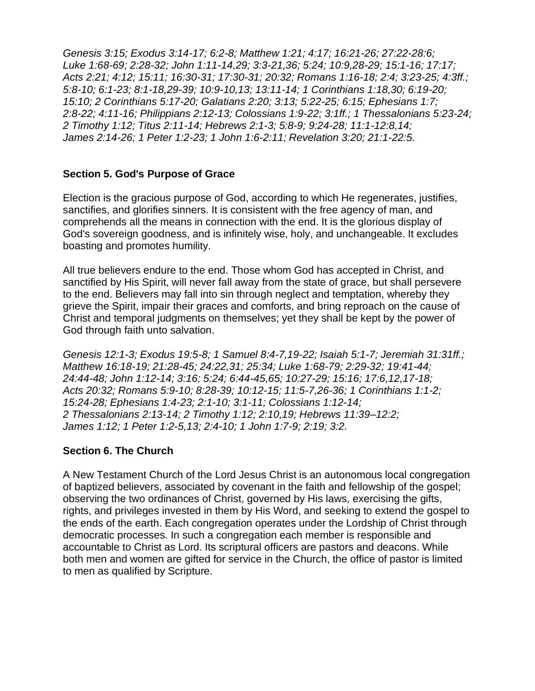*Genesis 3:15; Exodus 3:14-17; 6:2-8; Matthew 1:21; 4:17; 16:21-26; 27:22-28:6; Luke 1:68-69; 2:28-32; John 1:11-14,29; 3:3-21,36; 5:24; 10:9,28-29; 15:1-16; 17:17; Acts 2:21; 4:12; 15:11; 16:30-31; 17:30-31; 20:32; Romans 1:16-18; 2:4; 3:23-25; 4:3ff.; 5:8-10; 6:1-23; 8:1-18,29-39; 10:9-10,13; 13:11-14; 1 Corinthians 1:18,30; 6:19-20; 15:10; 2 Corinthians 5:17-20; Galatians 2:20; 3:13; 5:22-25; 6:15; Ephesians 1:7; 2:8-22; 4:11-16; Philippians 2:12-13; Colossians 1:9-22; 3:1ff.; 1 Thessalonians 5:23-24; 2 Timothy 1:12; Titus 2:11-14; Hebrews 2:1-3; 5:8-9; 9:24-28; 11:1-12:8,14; James 2:14-26; 1 Peter 1:2-23; 1 John 1:6-2:11; Revelation 3:20; 21:1-22:5.*

### **Section 5. God's Purpose of Grace**

Election is the gracious purpose of God, according to which He regenerates, justifies, sanctifies, and glorifies sinners. It is consistent with the free agency of man, and comprehends all the means in connection with the end. It is the glorious display of God's sovereign goodness, and is infinitely wise, holy, and unchangeable. It excludes boasting and promotes humility.

All true believers endure to the end. Those whom God has accepted in Christ, and sanctified by His Spirit, will never fall away from the state of grace, but shall persevere to the end. Believers may fall into sin through neglect and temptation, whereby they grieve the Spirit, impair their graces and comforts, and bring reproach on the cause of Christ and temporal judgments on themselves; yet they shall be kept by the power of God through faith unto salvation.

*Genesis 12:1-3; Exodus 19:5-8; 1 Samuel 8:4-7,19-22; Isaiah 5:1-7; Jeremiah 31:31ff.; Matthew 16:18-19; 21:28-45; 24:22,31; 25:34; Luke 1:68-79; 2:29-32; 19:41-44; 24:44-48; John 1:12-14; 3:16; 5:24; 6:44-45,65; 10:27-29; 15:16; 17:6,12,17-18; Acts 20:32; Romans 5:9-10; 8:28-39; 10:12-15; 11:5-7,26-36; 1 Corinthians 1:1-2; 15:24-28; Ephesians 1:4-23; 2:1-10; 3:1-11; Colossians 1:12-14; 2 Thessalonians 2:13-14; 2 Timothy 1:12; 2:10,19; Hebrews 11:39–12:2; James 1:12; 1 Peter 1:2-5,13; 2:4-10; 1 John 1:7-9; 2:19; 3:2.*

#### **Section 6. The Church**

A New Testament Church of the Lord Jesus Christ is an autonomous local congregation of baptized believers, associated by covenant in the faith and fellowship of the gospel; observing the two ordinances of Christ, governed by His laws, exercising the gifts, rights, and privileges invested in them by His Word, and seeking to extend the gospel to the ends of the earth. Each congregation operates under the Lordship of Christ through democratic processes. In such a congregation each member is responsible and accountable to Christ as Lord. Its scriptural officers are pastors and deacons. While both men and women are gifted for service in the Church, the office of pastor is limited to men as qualified by Scripture.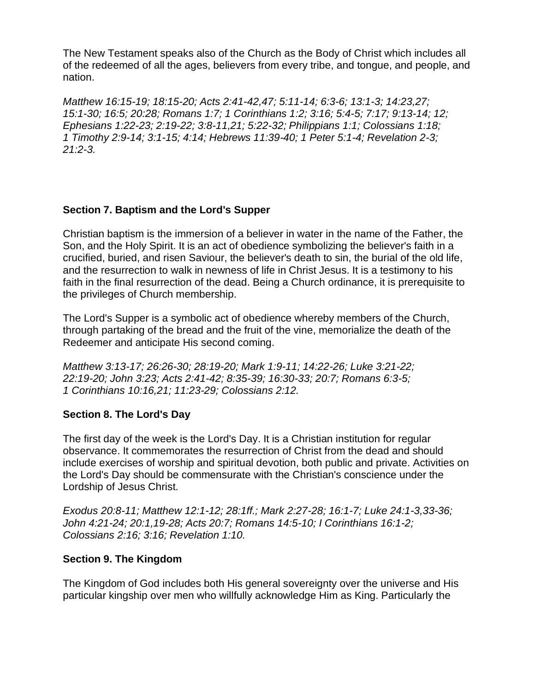The New Testament speaks also of the Church as the Body of Christ which includes all of the redeemed of all the ages, believers from every tribe, and tongue, and people, and nation.

*Matthew 16:15-19; 18:15-20; Acts 2:41-42,47; 5:11-14; 6:3-6; 13:1-3; 14:23,27; 15:1-30; 16:5; 20:28; Romans 1:7; 1 Corinthians 1:2; 3:16; 5:4-5; 7:17; 9:13-14; 12; Ephesians 1:22-23; 2:19-22; 3:8-11,21; 5:22-32; Philippians 1:1; Colossians 1:18; 1 Timothy 2:9-14; 3:1-15; 4:14; Hebrews 11:39-40; 1 Peter 5:1-4; Revelation 2-3; 21:2-3.*

## **Section 7. Baptism and the Lord's Supper**

Christian baptism is the immersion of a believer in water in the name of the Father, the Son, and the Holy Spirit. It is an act of obedience symbolizing the believer's faith in a crucified, buried, and risen Saviour, the believer's death to sin, the burial of the old life, and the resurrection to walk in newness of life in Christ Jesus. It is a testimony to his faith in the final resurrection of the dead. Being a Church ordinance, it is prerequisite to the privileges of Church membership.

The Lord's Supper is a symbolic act of obedience whereby members of the Church, through partaking of the bread and the fruit of the vine, memorialize the death of the Redeemer and anticipate His second coming.

*Matthew 3:13-17; 26:26-30; 28:19-20; Mark 1:9-11; 14:22-26; Luke 3:21-22; 22:19-20; John 3:23; Acts 2:41-42; 8:35-39; 16:30-33; 20:7; Romans 6:3-5; 1 Corinthians 10:16,21; 11:23-29; Colossians 2:12.*

## **Section 8. The Lord's Day**

The first day of the week is the Lord's Day. It is a Christian institution for regular observance. It commemorates the resurrection of Christ from the dead and should include exercises of worship and spiritual devotion, both public and private. Activities on the Lord's Day should be commensurate with the Christian's conscience under the Lordship of Jesus Christ.

*Exodus 20:8-11; Matthew 12:1-12; 28:1ff.; Mark 2:27-28; 16:1-7; Luke 24:1-3,33-36; John 4:21-24; 20:1,19-28; Acts 20:7; Romans 14:5-10; I Corinthians 16:1-2; Colossians 2:16; 3:16; Revelation 1:10.*

#### **Section 9. The Kingdom**

The Kingdom of God includes both His general sovereignty over the universe and His particular kingship over men who willfully acknowledge Him as King. Particularly the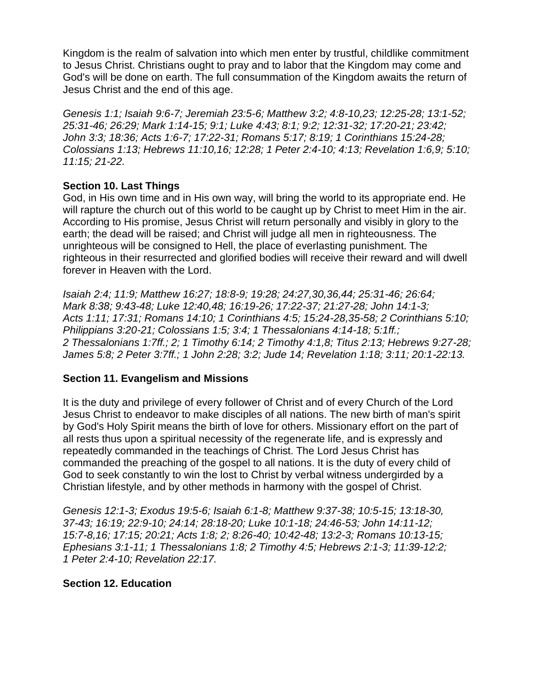Kingdom is the realm of salvation into which men enter by trustful, childlike commitment to Jesus Christ. Christians ought to pray and to labor that the Kingdom may come and God's will be done on earth. The full consummation of the Kingdom awaits the return of Jesus Christ and the end of this age.

*Genesis 1:1; Isaiah 9:6-7; Jeremiah 23:5-6; Matthew 3:2; 4:8-10,23; 12:25-28; 13:1-52; 25:31-46; 26:29; Mark 1:14-15; 9:1; Luke 4:43; 8:1; 9:2; 12:31-32; 17:20-21; 23:42; John 3:3; 18:36; Acts 1:6-7; 17:22-31; Romans 5:17; 8:19; 1 Corinthians 15:24-28; Colossians 1:13; Hebrews 11:10,16; 12:28; 1 Peter 2:4-10; 4:13; Revelation 1:6,9; 5:10; 11:15; 21-22.*

#### **Section 10. Last Things**

God, in His own time and in His own way, will bring the world to its appropriate end. He will rapture the church out of this world to be caught up by Christ to meet Him in the air. According to His promise, Jesus Christ will return personally and visibly in glory to the earth; the dead will be raised; and Christ will judge all men in righteousness. The unrighteous will be consigned to Hell, the place of everlasting punishment. The righteous in their resurrected and glorified bodies will receive their reward and will dwell forever in Heaven with the Lord.

*Isaiah 2:4; 11:9; Matthew 16:27; 18:8-9; 19:28; 24:27,30,36,44; 25:31-46; 26:64; Mark 8:38; 9:43-48; Luke 12:40,48; 16:19-26; 17:22-37; 21:27-28; John 14:1-3; Acts 1:11; 17:31; Romans 14:10; 1 Corinthians 4:5; 15:24-28,35-58; 2 Corinthians 5:10; Philippians 3:20-21; Colossians 1:5; 3:4; 1 Thessalonians 4:14-18; 5:1ff.; 2 Thessalonians 1:7ff.; 2; 1 Timothy 6:14; 2 Timothy 4:1,8; Titus 2:13; Hebrews 9:27-28; James 5:8; 2 Peter 3:7ff.; 1 John 2:28; 3:2; Jude 14; Revelation 1:18; 3:11; 20:1-22:13.*

#### **Section 11. Evangelism and Missions**

It is the duty and privilege of every follower of Christ and of every Church of the Lord Jesus Christ to endeavor to make disciples of all nations. The new birth of man's spirit by God's Holy Spirit means the birth of love for others. Missionary effort on the part of all rests thus upon a spiritual necessity of the regenerate life, and is expressly and repeatedly commanded in the teachings of Christ. The Lord Jesus Christ has commanded the preaching of the gospel to all nations. It is the duty of every child of God to seek constantly to win the lost to Christ by verbal witness undergirded by a Christian lifestyle, and by other methods in harmony with the gospel of Christ.

*Genesis 12:1-3; Exodus 19:5-6; Isaiah 6:1-8; Matthew 9:37-38; 10:5-15; 13:18-30, 37-43; 16:19; 22:9-10; 24:14; 28:18-20; Luke 10:1-18; 24:46-53; John 14:11-12; 15:7-8,16; 17:15; 20:21; Acts 1:8; 2; 8:26-40; 10:42-48; 13:2-3; Romans 10:13-15; Ephesians 3:1-11; 1 Thessalonians 1:8; 2 Timothy 4:5; Hebrews 2:1-3; 11:39-12:2; 1 Peter 2:4-10; Revelation 22:17.*

#### **Section 12. Education**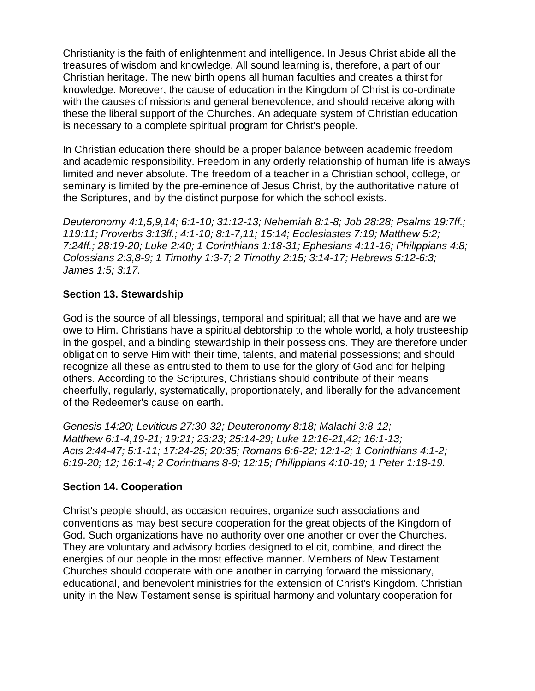Christianity is the faith of enlightenment and intelligence. In Jesus Christ abide all the treasures of wisdom and knowledge. All sound learning is, therefore, a part of our Christian heritage. The new birth opens all human faculties and creates a thirst for knowledge. Moreover, the cause of education in the Kingdom of Christ is co-ordinate with the causes of missions and general benevolence, and should receive along with these the liberal support of the Churches. An adequate system of Christian education is necessary to a complete spiritual program for Christ's people.

In Christian education there should be a proper balance between academic freedom and academic responsibility. Freedom in any orderly relationship of human life is always limited and never absolute. The freedom of a teacher in a Christian school, college, or seminary is limited by the pre-eminence of Jesus Christ, by the authoritative nature of the Scriptures, and by the distinct purpose for which the school exists.

*Deuteronomy 4:1,5,9,14; 6:1-10; 31:12-13; Nehemiah 8:1-8; Job 28:28; Psalms 19:7ff.; 119:11; Proverbs 3:13ff.; 4:1-10; 8:1-7,11; 15:14; Ecclesiastes 7:19; Matthew 5:2; 7:24ff.; 28:19-20; Luke 2:40; 1 Corinthians 1:18-31; Ephesians 4:11-16; Philippians 4:8; Colossians 2:3,8-9; 1 Timothy 1:3-7; 2 Timothy 2:15; 3:14-17; Hebrews 5:12-6:3; James 1:5; 3:17.*

### **Section 13. Stewardship**

God is the source of all blessings, temporal and spiritual; all that we have and are we owe to Him. Christians have a spiritual debtorship to the whole world, a holy trusteeship in the gospel, and a binding stewardship in their possessions. They are therefore under obligation to serve Him with their time, talents, and material possessions; and should recognize all these as entrusted to them to use for the glory of God and for helping others. According to the Scriptures, Christians should contribute of their means cheerfully, regularly, systematically, proportionately, and liberally for the advancement of the Redeemer's cause on earth.

*Genesis 14:20; Leviticus 27:30-32; Deuteronomy 8:18; Malachi 3:8-12; Matthew 6:1-4,19-21; 19:21; 23:23; 25:14-29; Luke 12:16-21,42; 16:1-13; Acts 2:44-47; 5:1-11; 17:24-25; 20:35; Romans 6:6-22; 12:1-2; 1 Corinthians 4:1-2; 6:19-20; 12; 16:1-4; 2 Corinthians 8-9; 12:15; Philippians 4:10-19; 1 Peter 1:18-19.*

## **Section 14. Cooperation**

Christ's people should, as occasion requires, organize such associations and conventions as may best secure cooperation for the great objects of the Kingdom of God. Such organizations have no authority over one another or over the Churches. They are voluntary and advisory bodies designed to elicit, combine, and direct the energies of our people in the most effective manner. Members of New Testament Churches should cooperate with one another in carrying forward the missionary, educational, and benevolent ministries for the extension of Christ's Kingdom. Christian unity in the New Testament sense is spiritual harmony and voluntary cooperation for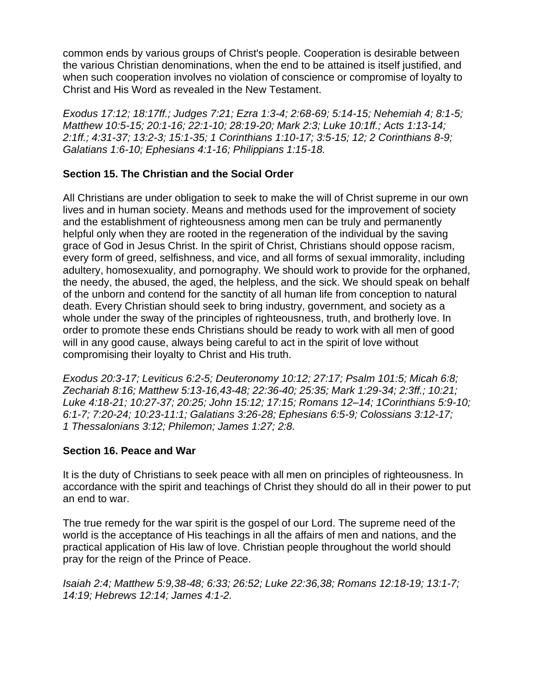common ends by various groups of Christ's people. Cooperation is desirable between the various Christian denominations, when the end to be attained is itself justified, and when such cooperation involves no violation of conscience or compromise of loyalty to Christ and His Word as revealed in the New Testament.

*Exodus 17:12; 18:17ff.; Judges 7:21; Ezra 1:3-4; 2:68-69; 5:14-15; Nehemiah 4; 8:1-5; Matthew 10:5-15; 20:1-16; 22:1-10; 28:19-20; Mark 2:3; Luke 10:1ff.; Acts 1:13-14; 2:1ff.; 4:31-37; 13:2-3; 15:1-35; 1 Corinthians 1:10-17; 3:5-15; 12; 2 Corinthians 8-9; Galatians 1:6-10; Ephesians 4:1-16; Philippians 1:15-18.*

### **Section 15. The Christian and the Social Order**

All Christians are under obligation to seek to make the will of Christ supreme in our own lives and in human society. Means and methods used for the improvement of society and the establishment of righteousness among men can be truly and permanently helpful only when they are rooted in the regeneration of the individual by the saving grace of God in Jesus Christ. In the spirit of Christ, Christians should oppose racism, every form of greed, selfishness, and vice, and all forms of sexual immorality, including adultery, homosexuality, and pornography. We should work to provide for the orphaned, the needy, the abused, the aged, the helpless, and the sick. We should speak on behalf of the unborn and contend for the sanctity of all human life from conception to natural death. Every Christian should seek to bring industry, government, and society as a whole under the sway of the principles of righteousness, truth, and brotherly love. In order to promote these ends Christians should be ready to work with all men of good will in any good cause, always being careful to act in the spirit of love without compromising their loyalty to Christ and His truth.

*Exodus 20:3-17; Leviticus 6:2-5; Deuteronomy 10:12; 27:17; Psalm 101:5; Micah 6:8; Zechariah 8:16; Matthew 5:13-16,43-48; 22:36-40; 25:35; Mark 1:29-34; 2:3ff.; 10:21; Luke 4:18-21; 10:27-37; 20:25; John 15:12; 17:15; Romans 12–14; 1Corinthians 5:9-10; 6:1-7; 7:20-24; 10:23-11:1; Galatians 3:26-28; Ephesians 6:5-9; Colossians 3:12-17; 1 Thessalonians 3:12; Philemon; James 1:27; 2:8.*

#### **Section 16. Peace and War**

It is the duty of Christians to seek peace with all men on principles of righteousness. In accordance with the spirit and teachings of Christ they should do all in their power to put an end to war.

The true remedy for the war spirit is the gospel of our Lord. The supreme need of the world is the acceptance of His teachings in all the affairs of men and nations, and the practical application of His law of love. Christian people throughout the world should pray for the reign of the Prince of Peace.

*Isaiah 2:4; Matthew 5:9,38-48; 6:33; 26:52; Luke 22:36,38; Romans 12:18-19; 13:1-7; 14:19; Hebrews 12:14; James 4:1-2.*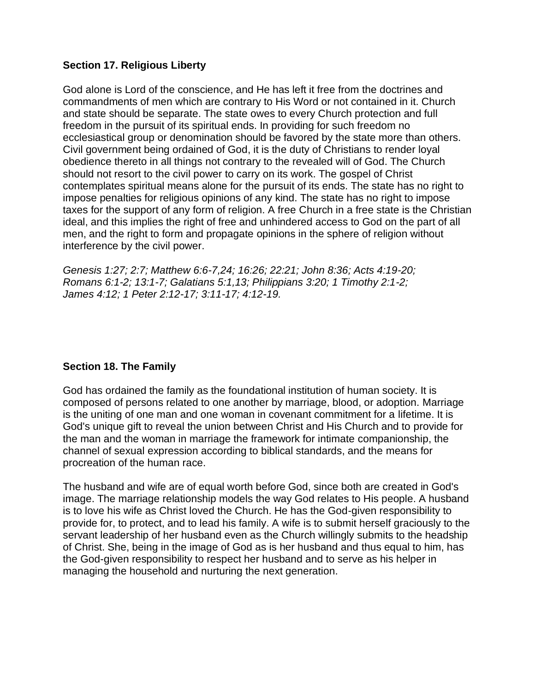### **Section 17. Religious Liberty**

God alone is Lord of the conscience, and He has left it free from the doctrines and commandments of men which are contrary to His Word or not contained in it. Church and state should be separate. The state owes to every Church protection and full freedom in the pursuit of its spiritual ends. In providing for such freedom no ecclesiastical group or denomination should be favored by the state more than others. Civil government being ordained of God, it is the duty of Christians to render loyal obedience thereto in all things not contrary to the revealed will of God. The Church should not resort to the civil power to carry on its work. The gospel of Christ contemplates spiritual means alone for the pursuit of its ends. The state has no right to impose penalties for religious opinions of any kind. The state has no right to impose taxes for the support of any form of religion. A free Church in a free state is the Christian ideal, and this implies the right of free and unhindered access to God on the part of all men, and the right to form and propagate opinions in the sphere of religion without interference by the civil power.

*Genesis 1:27; 2:7; Matthew 6:6-7,24; 16:26; 22:21; John 8:36; Acts 4:19-20; Romans 6:1-2; 13:1-7; Galatians 5:1,13; Philippians 3:20; 1 Timothy 2:1-2; James 4:12; 1 Peter 2:12-17; 3:11-17; 4:12-19.*

#### **Section 18. The Family**

God has ordained the family as the foundational institution of human society. It is composed of persons related to one another by marriage, blood, or adoption. Marriage is the uniting of one man and one woman in covenant commitment for a lifetime. It is God's unique gift to reveal the union between Christ and His Church and to provide for the man and the woman in marriage the framework for intimate companionship, the channel of sexual expression according to biblical standards, and the means for procreation of the human race.

The husband and wife are of equal worth before God, since both are created in God's image. The marriage relationship models the way God relates to His people. A husband is to love his wife as Christ loved the Church. He has the God-given responsibility to provide for, to protect, and to lead his family. A wife is to submit herself graciously to the servant leadership of her husband even as the Church willingly submits to the headship of Christ. She, being in the image of God as is her husband and thus equal to him, has the God-given responsibility to respect her husband and to serve as his helper in managing the household and nurturing the next generation.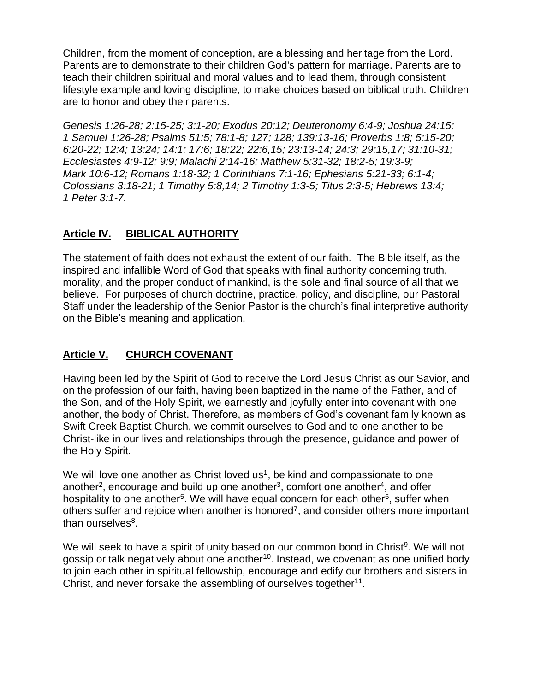Children, from the moment of conception, are a blessing and heritage from the Lord. Parents are to demonstrate to their children God's pattern for marriage. Parents are to teach their children spiritual and moral values and to lead them, through consistent lifestyle example and loving discipline, to make choices based on biblical truth. Children are to honor and obey their parents.

*Genesis 1:26-28; 2:15-25; 3:1-20; Exodus 20:12; Deuteronomy 6:4-9; Joshua 24:15; 1 Samuel 1:26-28; Psalms 51:5; 78:1-8; 127; 128; 139:13-16; Proverbs 1:8; 5:15-20; 6:20-22; 12:4; 13:24; 14:1; 17:6; 18:22; 22:6,15; 23:13-14; 24:3; 29:15,17; 31:10-31; Ecclesiastes 4:9-12; 9:9; Malachi 2:14-16; Matthew 5:31-32; 18:2-5; 19:3-9; Mark 10:6-12; Romans 1:18-32; 1 Corinthians 7:1-16; Ephesians 5:21-33; 6:1-4; Colossians 3:18-21; 1 Timothy 5:8,14; 2 Timothy 1:3-5; Titus 2:3-5; Hebrews 13:4; 1 Peter 3:1-7.*

# **Article IV. BIBLICAL AUTHORITY**

The statement of faith does not exhaust the extent of our faith. The Bible itself, as the inspired and infallible Word of God that speaks with final authority concerning truth, morality, and the proper conduct of mankind, is the sole and final source of all that we believe. For purposes of church doctrine, practice, policy, and discipline, our Pastoral Staff under the leadership of the Senior Pastor is the church's final interpretive authority on the Bible's meaning and application.

# **Article V. CHURCH COVENANT**

Having been led by the Spirit of God to receive the Lord Jesus Christ as our Savior, and on the profession of our faith, having been baptized in the name of the Father, and of the Son, and of the Holy Spirit, we earnestly and joyfully enter into covenant with one another, the body of Christ. Therefore, as members of God's covenant family known as Swift Creek Baptist Church, we commit ourselves to God and to one another to be Christ-like in our lives and relationships through the presence, guidance and power of the Holy Spirit.

We will love one another as Christ loved us<sup>1</sup>, be kind and compassionate to one another<sup>2</sup>, encourage and build up one another<sup>3</sup>, comfort one another<sup>4</sup>, and offer hospitality to one another<sup>5</sup>. We will have equal concern for each other<sup>6</sup>, suffer when others suffer and rejoice when another is honored<sup>7</sup>, and consider others more important than ourselves<sup>8</sup>.

We will seek to have a spirit of unity based on our common bond in Christ<sup>9</sup>. We will not gossip or talk negatively about one another<sup>10</sup>. Instead, we covenant as one unified body to join each other in spiritual fellowship, encourage and edify our brothers and sisters in Christ, and never forsake the assembling of ourselves together $11$ .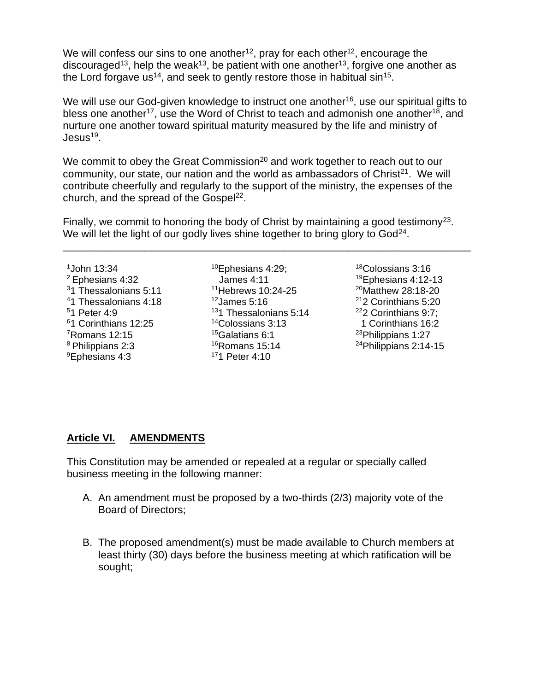We will confess our sins to one another<sup>12</sup>, pray for each other<sup>12</sup>, encourage the discouraged<sup>13</sup>, help the weak<sup>13</sup>, be patient with one another<sup>13</sup>, forgive one another as the Lord forgave us<sup>14</sup>, and seek to gently restore those in habitual sin<sup>15</sup>.

We will use our God-given knowledge to instruct one another<sup>16</sup>, use our spiritual gifts to bless one another<sup>17</sup>, use the Word of Christ to teach and admonish one another<sup>18</sup>, and nurture one another toward spiritual maturity measured by the life and ministry of Jesus<sup>19</sup>.

We commit to obey the Great Commission<sup>20</sup> and work together to reach out to our community, our state, our nation and the world as ambassadors of Christ<sup>21</sup>. We will contribute cheerfully and regularly to the support of the ministry, the expenses of the church, and the spread of the Gospel<sup>22</sup>.

Finally, we commit to honoring the body of Christ by maintaining a good testimony<sup>23</sup>. We will let the light of our godly lives shine together to bring glory to  $God<sup>24</sup>$ .

\_\_\_\_\_\_\_\_\_\_\_\_\_\_\_\_\_\_\_\_\_\_\_\_\_\_\_\_\_\_\_\_\_\_\_\_\_\_\_\_\_\_\_\_\_\_\_\_\_\_\_\_\_\_\_\_\_\_\_\_\_\_\_\_\_\_\_\_\_\_

John 13:34 Ephesians 4:32 1 Thessalonians 5:11 1 Thessalonians 4:18 1 Peter 4:9 1 Corinthians 12:25 Romans 12:15 <sup>8</sup> Philippians 2:3 Ephesians 4:3

Ephesians 4:29; James 4:11 Hebrews 10:24-25 James 5:16 1 Thessalonians 5:14 Colossians 3:13 Galatians 6:1 Romans 15:14 1 Peter 4:10

Colossians 3:16 Ephesians 4:12-13 Matthew 28:18-20 2 Corinthians 5:20 2 Corinthians 9:7; 1 Corinthians 16:2 Philippians 1:27 Philippians 2:14-15

## **Article VI. AMENDMENTS**

This Constitution may be amended or repealed at a regular or specially called business meeting in the following manner:

- A. An amendment must be proposed by a two-thirds (2/3) majority vote of the Board of Directors;
- B. The proposed amendment(s) must be made available to Church members at least thirty (30) days before the business meeting at which ratification will be sought;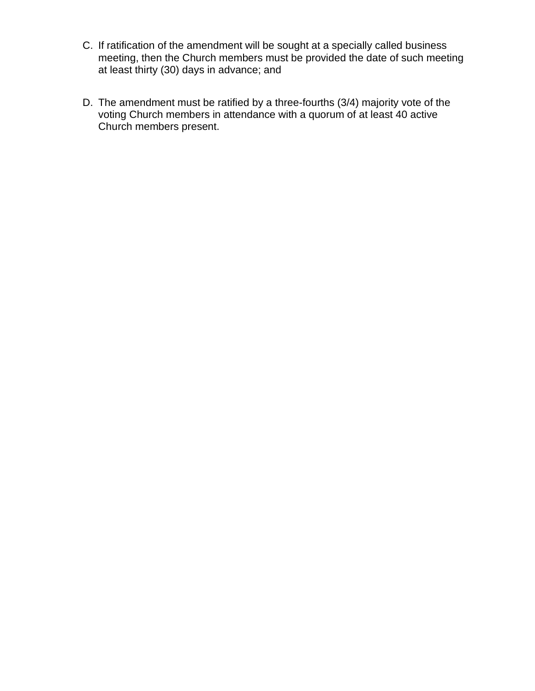- C. If ratification of the amendment will be sought at a specially called business meeting, then the Church members must be provided the date of such meeting at least thirty (30) days in advance; and
- D. The amendment must be ratified by a three-fourths (3/4) majority vote of the voting Church members in attendance with a quorum of at least 40 active Church members present.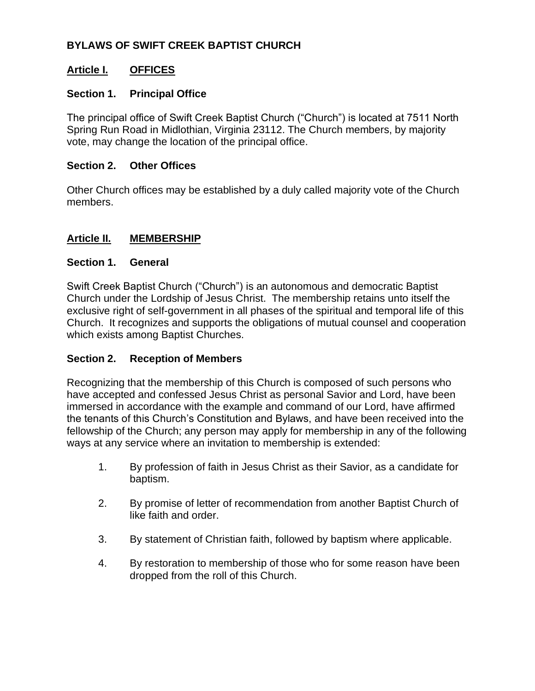## **BYLAWS OF SWIFT CREEK BAPTIST CHURCH**

## **Article I. OFFICES**

### **Section 1. Principal Office**

The principal office of Swift Creek Baptist Church ("Church") is located at 7511 North Spring Run Road in Midlothian, Virginia 23112. The Church members, by majority vote, may change the location of the principal office.

#### **Section 2. Other Offices**

Other Church offices may be established by a duly called majority vote of the Church members.

### **Article II. MEMBERSHIP**

#### **Section 1. General**

Swift Creek Baptist Church ("Church") is an autonomous and democratic Baptist Church under the Lordship of Jesus Christ. The membership retains unto itself the exclusive right of self-government in all phases of the spiritual and temporal life of this Church. It recognizes and supports the obligations of mutual counsel and cooperation which exists among Baptist Churches.

#### **Section 2. Reception of Members**

Recognizing that the membership of this Church is composed of such persons who have accepted and confessed Jesus Christ as personal Savior and Lord, have been immersed in accordance with the example and command of our Lord, have affirmed the tenants of this Church's Constitution and Bylaws, and have been received into the fellowship of the Church; any person may apply for membership in any of the following ways at any service where an invitation to membership is extended:

- 1. By profession of faith in Jesus Christ as their Savior, as a candidate for baptism.
- 2. By promise of letter of recommendation from another Baptist Church of like faith and order.
- 3. By statement of Christian faith, followed by baptism where applicable.
- 4. By restoration to membership of those who for some reason have been dropped from the roll of this Church.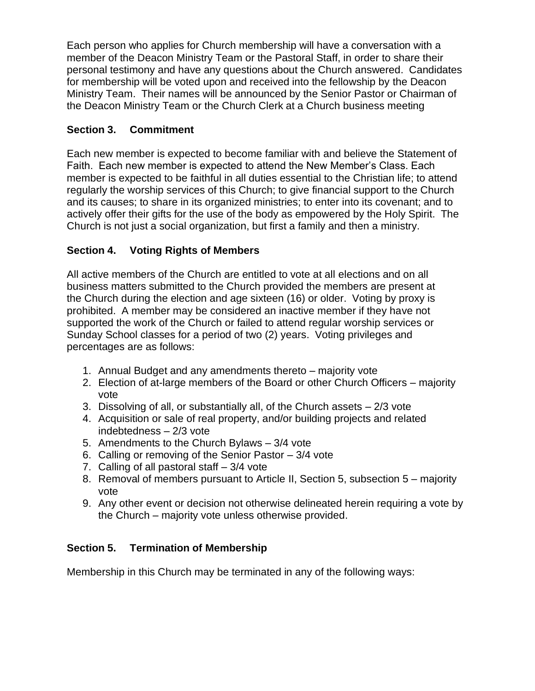Each person who applies for Church membership will have a conversation with a member of the Deacon Ministry Team or the Pastoral Staff, in order to share their personal testimony and have any questions about the Church answered. Candidates for membership will be voted upon and received into the fellowship by the Deacon Ministry Team. Their names will be announced by the Senior Pastor or Chairman of the Deacon Ministry Team or the Church Clerk at a Church business meeting

# **Section 3. Commitment**

Each new member is expected to become familiar with and believe the Statement of Faith. Each new member is expected to attend the New Member's Class. Each member is expected to be faithful in all duties essential to the Christian life; to attend regularly the worship services of this Church; to give financial support to the Church and its causes; to share in its organized ministries; to enter into its covenant; and to actively offer their gifts for the use of the body as empowered by the Holy Spirit. The Church is not just a social organization, but first a family and then a ministry.

# **Section 4. Voting Rights of Members**

All active members of the Church are entitled to vote at all elections and on all business matters submitted to the Church provided the members are present at the Church during the election and age sixteen (16) or older. Voting by proxy is prohibited. A member may be considered an inactive member if they have not supported the work of the Church or failed to attend regular worship services or Sunday School classes for a period of two (2) years. Voting privileges and percentages are as follows:

- 1. Annual Budget and any amendments thereto majority vote
- 2. Election of at-large members of the Board or other Church Officers majority vote
- 3. Dissolving of all, or substantially all, of the Church assets 2/3 vote
- 4. Acquisition or sale of real property, and/or building projects and related indebtedness – 2/3 vote
- 5. Amendments to the Church Bylaws 3/4 vote
- 6. Calling or removing of the Senior Pastor 3/4 vote
- 7. Calling of all pastoral staff 3/4 vote
- 8. Removal of members pursuant to Article II, Section 5, subsection 5 majority vote
- 9. Any other event or decision not otherwise delineated herein requiring a vote by the Church – majority vote unless otherwise provided.

# **Section 5. Termination of Membership**

Membership in this Church may be terminated in any of the following ways: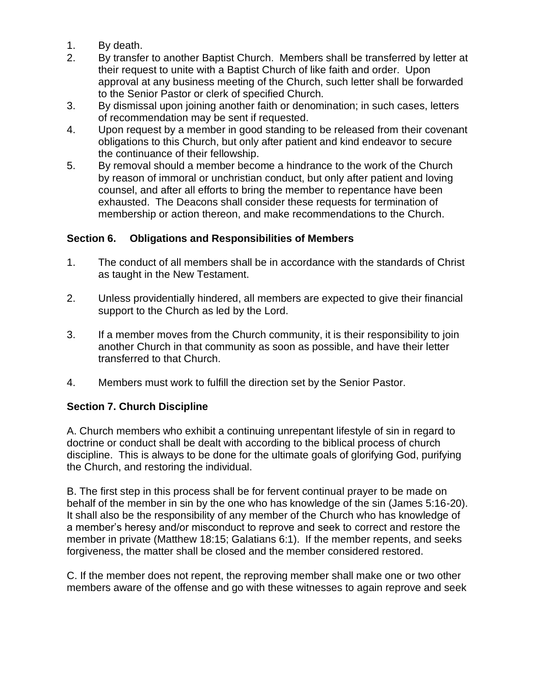- 1. By death.
- 2. By transfer to another Baptist Church. Members shall be transferred by letter at their request to unite with a Baptist Church of like faith and order. Upon approval at any business meeting of the Church, such letter shall be forwarded to the Senior Pastor or clerk of specified Church.
- 3. By dismissal upon joining another faith or denomination; in such cases, letters of recommendation may be sent if requested.
- 4. Upon request by a member in good standing to be released from their covenant obligations to this Church, but only after patient and kind endeavor to secure the continuance of their fellowship.
- 5. By removal should a member become a hindrance to the work of the Church by reason of immoral or unchristian conduct, but only after patient and loving counsel, and after all efforts to bring the member to repentance have been exhausted. The Deacons shall consider these requests for termination of membership or action thereon, and make recommendations to the Church.

## **Section 6. Obligations and Responsibilities of Members**

- 1. The conduct of all members shall be in accordance with the standards of Christ as taught in the New Testament.
- 2. Unless providentially hindered, all members are expected to give their financial support to the Church as led by the Lord.
- 3. If a member moves from the Church community, it is their responsibility to join another Church in that community as soon as possible, and have their letter transferred to that Church.
- 4. Members must work to fulfill the direction set by the Senior Pastor.

## **Section 7. Church Discipline**

A. Church members who exhibit a continuing unrepentant lifestyle of sin in regard to doctrine or conduct shall be dealt with according to the biblical process of church discipline. This is always to be done for the ultimate goals of glorifying God, purifying the Church, and restoring the individual.

B. The first step in this process shall be for fervent continual prayer to be made on behalf of the member in sin by the one who has knowledge of the sin (James 5:16-20). It shall also be the responsibility of any member of the Church who has knowledge of a member's heresy and/or misconduct to reprove and seek to correct and restore the member in private (Matthew 18:15; Galatians 6:1). If the member repents, and seeks forgiveness, the matter shall be closed and the member considered restored.

C. If the member does not repent, the reproving member shall make one or two other members aware of the offense and go with these witnesses to again reprove and seek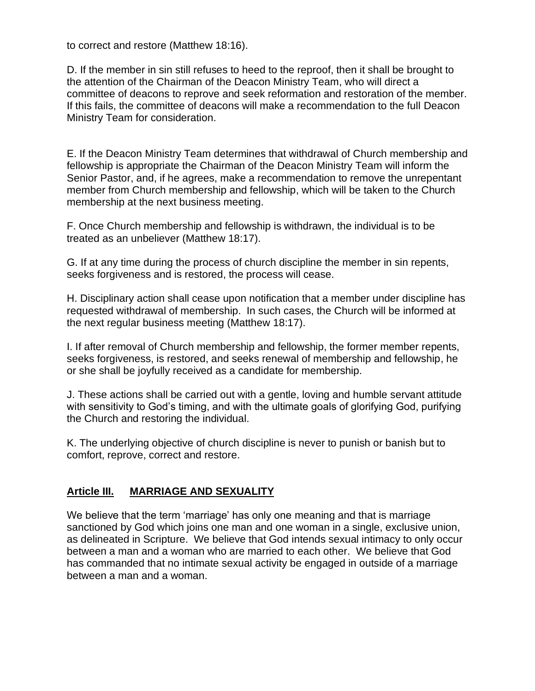to correct and restore (Matthew 18:16).

D. If the member in sin still refuses to heed to the reproof, then it shall be brought to the attention of the Chairman of the Deacon Ministry Team, who will direct a committee of deacons to reprove and seek reformation and restoration of the member. If this fails, the committee of deacons will make a recommendation to the full Deacon Ministry Team for consideration.

E. If the Deacon Ministry Team determines that withdrawal of Church membership and fellowship is appropriate the Chairman of the Deacon Ministry Team will inform the Senior Pastor, and, if he agrees, make a recommendation to remove the unrepentant member from Church membership and fellowship, which will be taken to the Church membership at the next business meeting.

F. Once Church membership and fellowship is withdrawn, the individual is to be treated as an unbeliever (Matthew 18:17).

G. If at any time during the process of church discipline the member in sin repents, seeks forgiveness and is restored, the process will cease.

H. Disciplinary action shall cease upon notification that a member under discipline has requested withdrawal of membership. In such cases, the Church will be informed at the next regular business meeting (Matthew 18:17).

I. If after removal of Church membership and fellowship, the former member repents, seeks forgiveness, is restored, and seeks renewal of membership and fellowship, he or she shall be joyfully received as a candidate for membership.

J. These actions shall be carried out with a gentle, loving and humble servant attitude with sensitivity to God's timing, and with the ultimate goals of glorifying God, purifying the Church and restoring the individual.

K. The underlying objective of church discipline is never to punish or banish but to comfort, reprove, correct and restore.

## **Article III. MARRIAGE AND SEXUALITY**

We believe that the term 'marriage' has only one meaning and that is marriage sanctioned by God which joins one man and one woman in a single, exclusive union, as delineated in Scripture. We believe that God intends sexual intimacy to only occur between a man and a woman who are married to each other. We believe that God has commanded that no intimate sexual activity be engaged in outside of a marriage between a man and a woman.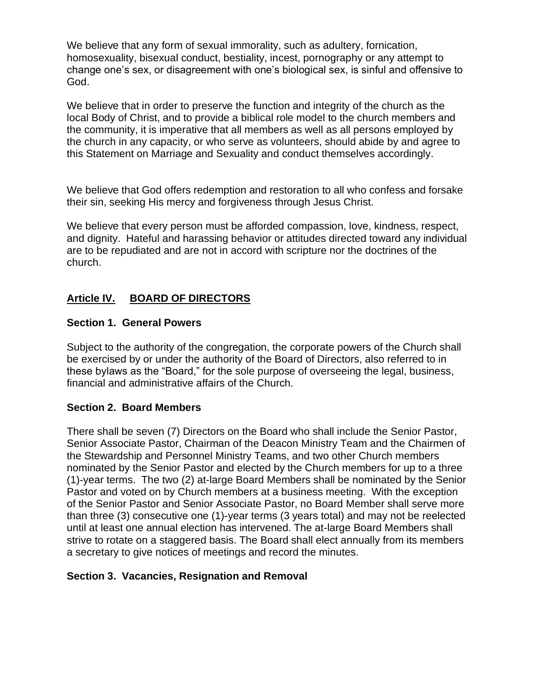We believe that any form of sexual immorality, such as adultery, fornication, homosexuality, bisexual conduct, bestiality, incest, pornography or any attempt to change one's sex, or disagreement with one's biological sex, is sinful and offensive to God.

We believe that in order to preserve the function and integrity of the church as the local Body of Christ, and to provide a biblical role model to the church members and the community, it is imperative that all members as well as all persons employed by the church in any capacity, or who serve as volunteers, should abide by and agree to this Statement on Marriage and Sexuality and conduct themselves accordingly.

We believe that God offers redemption and restoration to all who confess and forsake their sin, seeking His mercy and forgiveness through Jesus Christ.

We believe that every person must be afforded compassion, love, kindness, respect, and dignity. Hateful and harassing behavior or attitudes directed toward any individual are to be repudiated and are not in accord with scripture nor the doctrines of the church.

## **Article IV. BOARD OF DIRECTORS**

### **Section 1. General Powers**

Subject to the authority of the congregation, the corporate powers of the Church shall be exercised by or under the authority of the Board of Directors, also referred to in these bylaws as the "Board," for the sole purpose of overseeing the legal, business, financial and administrative affairs of the Church.

## **Section 2. Board Members**

There shall be seven (7) Directors on the Board who shall include the Senior Pastor, Senior Associate Pastor, Chairman of the Deacon Ministry Team and the Chairmen of the Stewardship and Personnel Ministry Teams, and two other Church members nominated by the Senior Pastor and elected by the Church members for up to a three (1)-year terms. The two (2) at-large Board Members shall be nominated by the Senior Pastor and voted on by Church members at a business meeting. With the exception of the Senior Pastor and Senior Associate Pastor, no Board Member shall serve more than three (3) consecutive one (1)-year terms (3 years total) and may not be reelected until at least one annual election has intervened. The at-large Board Members shall strive to rotate on a staggered basis. The Board shall elect annually from its members a secretary to give notices of meetings and record the minutes.

#### **Section 3. Vacancies, Resignation and Removal**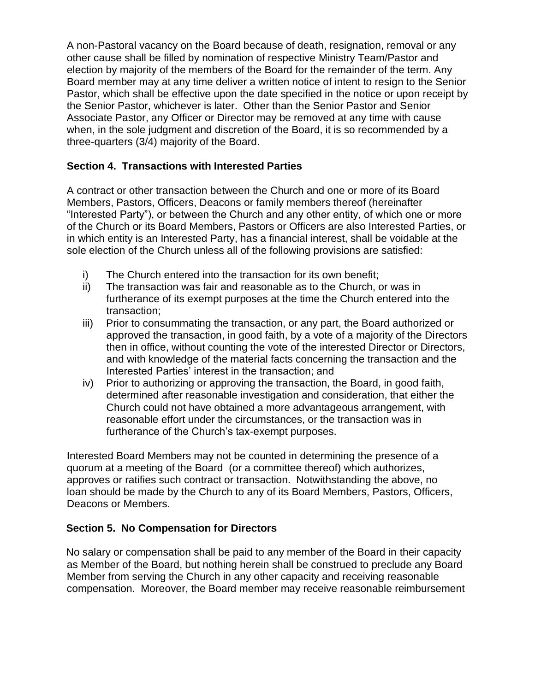A non-Pastoral vacancy on the Board because of death, resignation, removal or any other cause shall be filled by nomination of respective Ministry Team/Pastor and election by majority of the members of the Board for the remainder of the term. Any Board member may at any time deliver a written notice of intent to resign to the Senior Pastor, which shall be effective upon the date specified in the notice or upon receipt by the Senior Pastor, whichever is later. Other than the Senior Pastor and Senior Associate Pastor, any Officer or Director may be removed at any time with cause when, in the sole judgment and discretion of the Board, it is so recommended by a three-quarters (3/4) majority of the Board.

## **Section 4. Transactions with Interested Parties**

A contract or other transaction between the Church and one or more of its Board Members, Pastors, Officers, Deacons or family members thereof (hereinafter "Interested Party"), or between the Church and any other entity, of which one or more of the Church or its Board Members, Pastors or Officers are also Interested Parties, or in which entity is an Interested Party, has a financial interest, shall be voidable at the sole election of the Church unless all of the following provisions are satisfied:

- i) The Church entered into the transaction for its own benefit;
- ii) The transaction was fair and reasonable as to the Church, or was in furtherance of its exempt purposes at the time the Church entered into the transaction;
- iii) Prior to consummating the transaction, or any part, the Board authorized or approved the transaction, in good faith, by a vote of a majority of the Directors then in office, without counting the vote of the interested Director or Directors, and with knowledge of the material facts concerning the transaction and the Interested Parties' interest in the transaction; and
- iv) Prior to authorizing or approving the transaction, the Board, in good faith, determined after reasonable investigation and consideration, that either the Church could not have obtained a more advantageous arrangement, with reasonable effort under the circumstances, or the transaction was in furtherance of the Church's tax-exempt purposes.

Interested Board Members may not be counted in determining the presence of a quorum at a meeting of the Board (or a committee thereof) which authorizes, approves or ratifies such contract or transaction. Notwithstanding the above, no loan should be made by the Church to any of its Board Members, Pastors, Officers, Deacons or Members.

# **Section 5. No Compensation for Directors**

No salary or compensation shall be paid to any member of the Board in their capacity as Member of the Board, but nothing herein shall be construed to preclude any Board Member from serving the Church in any other capacity and receiving reasonable compensation. Moreover, the Board member may receive reasonable reimbursement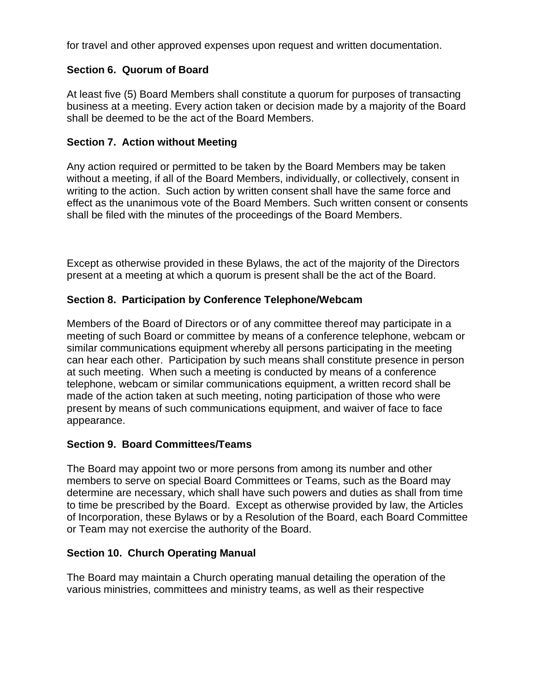for travel and other approved expenses upon request and written documentation.

## **Section 6. Quorum of Board**

At least five (5) Board Members shall constitute a quorum for purposes of transacting business at a meeting. Every action taken or decision made by a majority of the Board shall be deemed to be the act of the Board Members.

### **Section 7. Action without Meeting**

Any action required or permitted to be taken by the Board Members may be taken without a meeting, if all of the Board Members, individually, or collectively, consent in writing to the action. Such action by written consent shall have the same force and effect as the unanimous vote of the Board Members. Such written consent or consents shall be filed with the minutes of the proceedings of the Board Members.

Except as otherwise provided in these Bylaws, the act of the majority of the Directors present at a meeting at which a quorum is present shall be the act of the Board.

## **Section 8. Participation by Conference Telephone/Webcam**

Members of the Board of Directors or of any committee thereof may participate in a meeting of such Board or committee by means of a conference telephone, webcam or similar communications equipment whereby all persons participating in the meeting can hear each other. Participation by such means shall constitute presence in person at such meeting. When such a meeting is conducted by means of a conference telephone, webcam or similar communications equipment, a written record shall be made of the action taken at such meeting, noting participation of those who were present by means of such communications equipment, and waiver of face to face appearance.

## **Section 9. Board Committees/Teams**

The Board may appoint two or more persons from among its number and other members to serve on special Board Committees or Teams, such as the Board may determine are necessary, which shall have such powers and duties as shall from time to time be prescribed by the Board. Except as otherwise provided by law, the Articles of Incorporation, these Bylaws or by a Resolution of the Board, each Board Committee or Team may not exercise the authority of the Board.

#### **Section 10. Church Operating Manual**

The Board may maintain a Church operating manual detailing the operation of the various ministries, committees and ministry teams, as well as their respective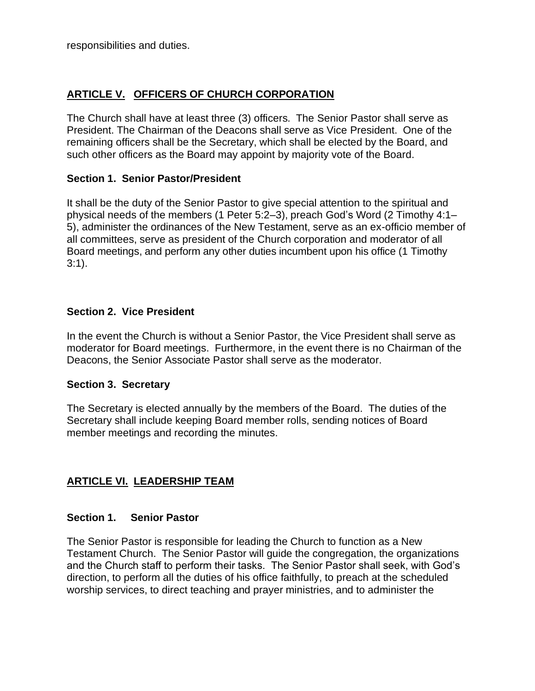responsibilities and duties.

## **ARTICLE V. OFFICERS OF CHURCH CORPORATION**

The Church shall have at least three (3) officers. The Senior Pastor shall serve as President. The Chairman of the Deacons shall serve as Vice President. One of the remaining officers shall be the Secretary, which shall be elected by the Board, and such other officers as the Board may appoint by majority vote of the Board.

#### **Section 1. Senior Pastor/President**

It shall be the duty of the Senior Pastor to give special attention to the spiritual and physical needs of the members (1 Peter 5:2–3), preach God's Word (2 Timothy 4:1– 5), administer the ordinances of the New Testament, serve as an ex-officio member of all committees, serve as president of the Church corporation and moderator of all Board meetings, and perform any other duties incumbent upon his office (1 Timothy 3:1).

#### **Section 2. Vice President**

In the event the Church is without a Senior Pastor, the Vice President shall serve as moderator for Board meetings. Furthermore, in the event there is no Chairman of the Deacons, the Senior Associate Pastor shall serve as the moderator.

#### **Section 3. Secretary**

The Secretary is elected annually by the members of the Board. The duties of the Secretary shall include keeping Board member rolls, sending notices of Board member meetings and recording the minutes.

## **ARTICLE VI. LEADERSHIP TEAM**

#### **Section 1. Senior Pastor**

The Senior Pastor is responsible for leading the Church to function as a New Testament Church. The Senior Pastor will guide the congregation, the organizations and the Church staff to perform their tasks. The Senior Pastor shall seek, with God's direction, to perform all the duties of his office faithfully, to preach at the scheduled worship services, to direct teaching and prayer ministries, and to administer the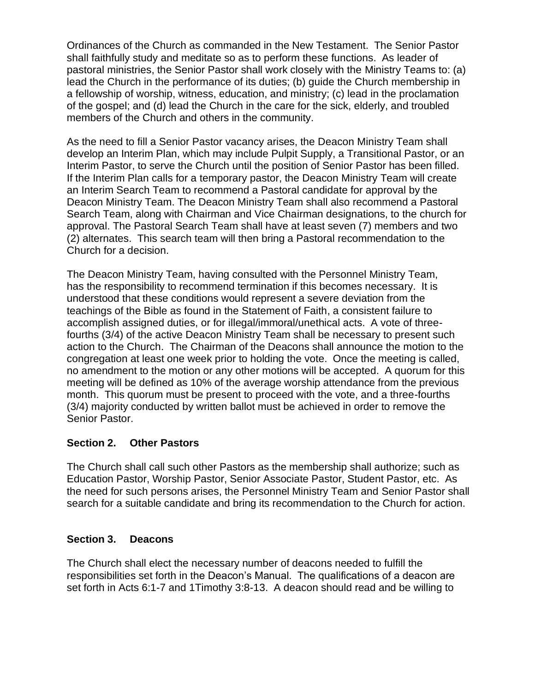Ordinances of the Church as commanded in the New Testament. The Senior Pastor shall faithfully study and meditate so as to perform these functions. As leader of pastoral ministries, the Senior Pastor shall work closely with the Ministry Teams to: (a) lead the Church in the performance of its duties; (b) guide the Church membership in a fellowship of worship, witness, education, and ministry; (c) lead in the proclamation of the gospel; and (d) lead the Church in the care for the sick, elderly, and troubled members of the Church and others in the community.

As the need to fill a Senior Pastor vacancy arises, the Deacon Ministry Team shall develop an Interim Plan, which may include Pulpit Supply, a Transitional Pastor, or an Interim Pastor, to serve the Church until the position of Senior Pastor has been filled. If the Interim Plan calls for a temporary pastor, the Deacon Ministry Team will create an Interim Search Team to recommend a Pastoral candidate for approval by the Deacon Ministry Team. The Deacon Ministry Team shall also recommend a Pastoral Search Team, along with Chairman and Vice Chairman designations, to the church for approval. The Pastoral Search Team shall have at least seven (7) members and two (2) alternates. This search team will then bring a Pastoral recommendation to the Church for a decision.

The Deacon Ministry Team, having consulted with the Personnel Ministry Team, has the responsibility to recommend termination if this becomes necessary. It is understood that these conditions would represent a severe deviation from the teachings of the Bible as found in the Statement of Faith, a consistent failure to accomplish assigned duties, or for illegal/immoral/unethical acts. A vote of threefourths (3/4) of the active Deacon Ministry Team shall be necessary to present such action to the Church. The Chairman of the Deacons shall announce the motion to the congregation at least one week prior to holding the vote. Once the meeting is called, no amendment to the motion or any other motions will be accepted. A quorum for this meeting will be defined as 10% of the average worship attendance from the previous month. This quorum must be present to proceed with the vote, and a three-fourths (3/4) majority conducted by written ballot must be achieved in order to remove the Senior Pastor.

#### **Section 2. Other Pastors**

The Church shall call such other Pastors as the membership shall authorize; such as Education Pastor, Worship Pastor, Senior Associate Pastor, Student Pastor, etc. As the need for such persons arises, the Personnel Ministry Team and Senior Pastor shall search for a suitable candidate and bring its recommendation to the Church for action.

## **Section 3. Deacons**

The Church shall elect the necessary number of deacons needed to fulfill the responsibilities set forth in the Deacon's Manual. The qualifications of a deacon are set forth in Acts 6:1-7 and 1Timothy 3:8-13. A deacon should read and be willing to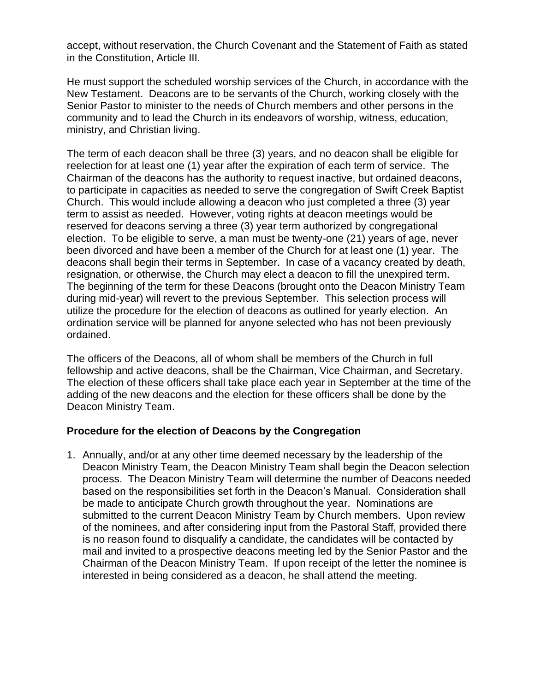accept, without reservation, the Church Covenant and the Statement of Faith as stated in the Constitution, Article III.

He must support the scheduled worship services of the Church, in accordance with the New Testament. Deacons are to be servants of the Church, working closely with the Senior Pastor to minister to the needs of Church members and other persons in the community and to lead the Church in its endeavors of worship, witness, education, ministry, and Christian living.

The term of each deacon shall be three (3) years, and no deacon shall be eligible for reelection for at least one (1) year after the expiration of each term of service. The Chairman of the deacons has the authority to request inactive, but ordained deacons, to participate in capacities as needed to serve the congregation of Swift Creek Baptist Church. This would include allowing a deacon who just completed a three (3) year term to assist as needed. However, voting rights at deacon meetings would be reserved for deacons serving a three (3) year term authorized by congregational election. To be eligible to serve, a man must be twenty-one (21) years of age, never been divorced and have been a member of the Church for at least one (1) year. The deacons shall begin their terms in September. In case of a vacancy created by death, resignation, or otherwise, the Church may elect a deacon to fill the unexpired term. The beginning of the term for these Deacons (brought onto the Deacon Ministry Team during mid-year) will revert to the previous September. This selection process will utilize the procedure for the election of deacons as outlined for yearly election. An ordination service will be planned for anyone selected who has not been previously ordained.

The officers of the Deacons, all of whom shall be members of the Church in full fellowship and active deacons, shall be the Chairman, Vice Chairman, and Secretary. The election of these officers shall take place each year in September at the time of the adding of the new deacons and the election for these officers shall be done by the Deacon Ministry Team.

#### **Procedure for the election of Deacons by the Congregation**

1. Annually, and/or at any other time deemed necessary by the leadership of the Deacon Ministry Team, the Deacon Ministry Team shall begin the Deacon selection process. The Deacon Ministry Team will determine the number of Deacons needed based on the responsibilities set forth in the Deacon's Manual. Consideration shall be made to anticipate Church growth throughout the year. Nominations are submitted to the current Deacon Ministry Team by Church members. Upon review of the nominees, and after considering input from the Pastoral Staff, provided there is no reason found to disqualify a candidate, the candidates will be contacted by mail and invited to a prospective deacons meeting led by the Senior Pastor and the Chairman of the Deacon Ministry Team. If upon receipt of the letter the nominee is interested in being considered as a deacon, he shall attend the meeting.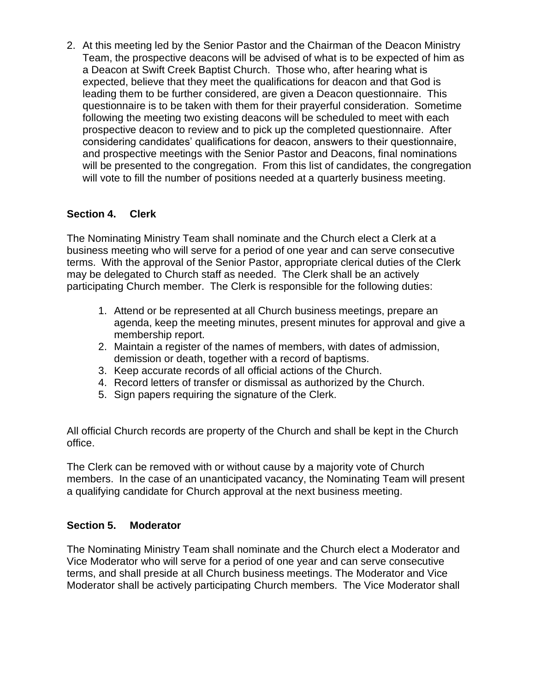2. At this meeting led by the Senior Pastor and the Chairman of the Deacon Ministry Team, the prospective deacons will be advised of what is to be expected of him as a Deacon at Swift Creek Baptist Church. Those who, after hearing what is expected, believe that they meet the qualifications for deacon and that God is leading them to be further considered, are given a Deacon questionnaire. This questionnaire is to be taken with them for their prayerful consideration. Sometime following the meeting two existing deacons will be scheduled to meet with each prospective deacon to review and to pick up the completed questionnaire. After considering candidates' qualifications for deacon, answers to their questionnaire, and prospective meetings with the Senior Pastor and Deacons, final nominations will be presented to the congregation. From this list of candidates, the congregation will vote to fill the number of positions needed at a quarterly business meeting.

## **Section 4. Clerk**

The Nominating Ministry Team shall nominate and the Church elect a Clerk at a business meeting who will serve for a period of one year and can serve consecutive terms. With the approval of the Senior Pastor, appropriate clerical duties of the Clerk may be delegated to Church staff as needed. The Clerk shall be an actively participating Church member. The Clerk is responsible for the following duties:

- 1. Attend or be represented at all Church business meetings, prepare an agenda, keep the meeting minutes, present minutes for approval and give a membership report.
- 2. Maintain a register of the names of members, with dates of admission, demission or death, together with a record of baptisms.
- 3. Keep accurate records of all official actions of the Church.
- 4. Record letters of transfer or dismissal as authorized by the Church.
- 5. Sign papers requiring the signature of the Clerk.

All official Church records are property of the Church and shall be kept in the Church office.

The Clerk can be removed with or without cause by a majority vote of Church members. In the case of an unanticipated vacancy, the Nominating Team will present a qualifying candidate for Church approval at the next business meeting.

## **Section 5. Moderator**

The Nominating Ministry Team shall nominate and the Church elect a Moderator and Vice Moderator who will serve for a period of one year and can serve consecutive terms, and shall preside at all Church business meetings. The Moderator and Vice Moderator shall be actively participating Church members. The Vice Moderator shall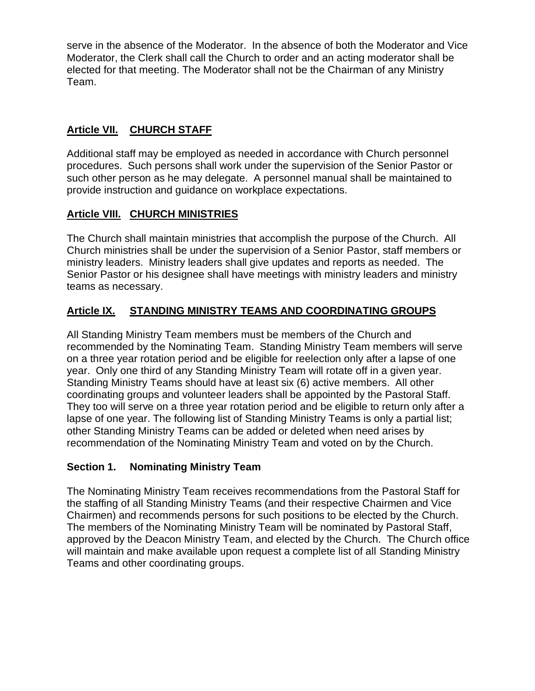serve in the absence of the Moderator. In the absence of both the Moderator and Vice Moderator, the Clerk shall call the Church to order and an acting moderator shall be elected for that meeting. The Moderator shall not be the Chairman of any Ministry Team.

## **Article VII. CHURCH STAFF**

Additional staff may be employed as needed in accordance with Church personnel procedures. Such persons shall work under the supervision of the Senior Pastor or such other person as he may delegate. A personnel manual shall be maintained to provide instruction and guidance on workplace expectations.

## **Article VIII. CHURCH MINISTRIES**

The Church shall maintain ministries that accomplish the purpose of the Church. All Church ministries shall be under the supervision of a Senior Pastor, staff members or ministry leaders. Ministry leaders shall give updates and reports as needed. The Senior Pastor or his designee shall have meetings with ministry leaders and ministry teams as necessary.

## **Article IX. STANDING MINISTRY TEAMS AND COORDINATING GROUPS**

All Standing Ministry Team members must be members of the Church and recommended by the Nominating Team. Standing Ministry Team members will serve on a three year rotation period and be eligible for reelection only after a lapse of one year. Only one third of any Standing Ministry Team will rotate off in a given year. Standing Ministry Teams should have at least six (6) active members. All other coordinating groups and volunteer leaders shall be appointed by the Pastoral Staff. They too will serve on a three year rotation period and be eligible to return only after a lapse of one year. The following list of Standing Ministry Teams is only a partial list; other Standing Ministry Teams can be added or deleted when need arises by recommendation of the Nominating Ministry Team and voted on by the Church.

## **Section 1. Nominating Ministry Team**

The Nominating Ministry Team receives recommendations from the Pastoral Staff for the staffing of all Standing Ministry Teams (and their respective Chairmen and Vice Chairmen) and recommends persons for such positions to be elected by the Church. The members of the Nominating Ministry Team will be nominated by Pastoral Staff, approved by the Deacon Ministry Team, and elected by the Church. The Church office will maintain and make available upon request a complete list of all Standing Ministry Teams and other coordinating groups.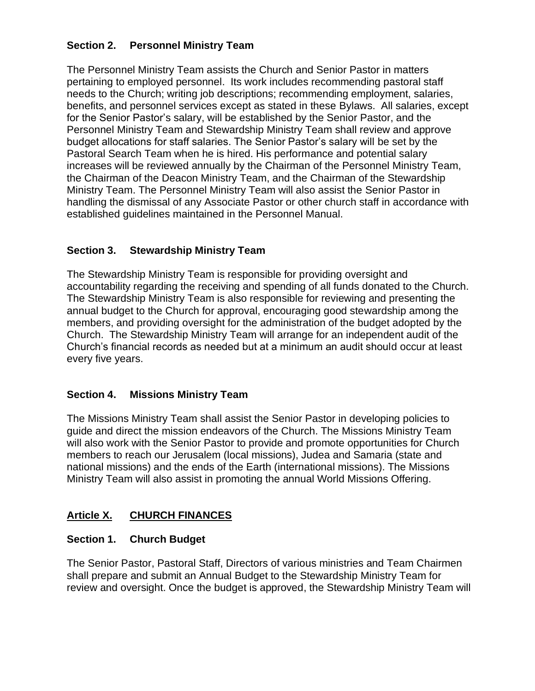## **Section 2. Personnel Ministry Team**

The Personnel Ministry Team assists the Church and Senior Pastor in matters pertaining to employed personnel. Its work includes recommending pastoral staff needs to the Church; writing job descriptions; recommending employment, salaries, benefits, and personnel services except as stated in these Bylaws. All salaries, except for the Senior Pastor's salary, will be established by the Senior Pastor, and the Personnel Ministry Team and Stewardship Ministry Team shall review and approve budget allocations for staff salaries. The Senior Pastor's salary will be set by the Pastoral Search Team when he is hired. His performance and potential salary increases will be reviewed annually by the Chairman of the Personnel Ministry Team, the Chairman of the Deacon Ministry Team, and the Chairman of the Stewardship Ministry Team. The Personnel Ministry Team will also assist the Senior Pastor in handling the dismissal of any Associate Pastor or other church staff in accordance with established guidelines maintained in the Personnel Manual.

## **Section 3. Stewardship Ministry Team**

The Stewardship Ministry Team is responsible for providing oversight and accountability regarding the receiving and spending of all funds donated to the Church. The Stewardship Ministry Team is also responsible for reviewing and presenting the annual budget to the Church for approval, encouraging good stewardship among the members, and providing oversight for the administration of the budget adopted by the Church. The Stewardship Ministry Team will arrange for an independent audit of the Church's financial records as needed but at a minimum an audit should occur at least every five years.

## **Section 4. Missions Ministry Team**

The Missions Ministry Team shall assist the Senior Pastor in developing policies to guide and direct the mission endeavors of the Church. The Missions Ministry Team will also work with the Senior Pastor to provide and promote opportunities for Church members to reach our Jerusalem (local missions), Judea and Samaria (state and national missions) and the ends of the Earth (international missions). The Missions Ministry Team will also assist in promoting the annual World Missions Offering.

# **Article X. CHURCH FINANCES**

## **Section 1. Church Budget**

The Senior Pastor, Pastoral Staff, Directors of various ministries and Team Chairmen shall prepare and submit an Annual Budget to the Stewardship Ministry Team for review and oversight. Once the budget is approved, the Stewardship Ministry Team will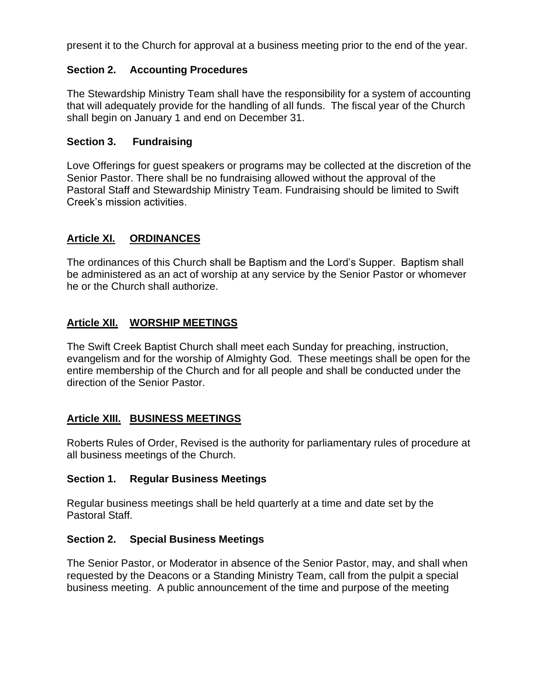present it to the Church for approval at a business meeting prior to the end of the year.

### **Section 2. Accounting Procedures**

The Stewardship Ministry Team shall have the responsibility for a system of accounting that will adequately provide for the handling of all funds. The fiscal year of the Church shall begin on January 1 and end on December 31.

#### **Section 3. Fundraising**

Love Offerings for guest speakers or programs may be collected at the discretion of the Senior Pastor. There shall be no fundraising allowed without the approval of the Pastoral Staff and Stewardship Ministry Team. Fundraising should be limited to Swift Creek's mission activities.

### **Article XI. ORDINANCES**

The ordinances of this Church shall be Baptism and the Lord's Supper. Baptism shall be administered as an act of worship at any service by the Senior Pastor or whomever he or the Church shall authorize.

## **Article XII. WORSHIP MEETINGS**

The Swift Creek Baptist Church shall meet each Sunday for preaching, instruction, evangelism and for the worship of Almighty God. These meetings shall be open for the entire membership of the Church and for all people and shall be conducted under the direction of the Senior Pastor.

## **Article XIII. BUSINESS MEETINGS**

Roberts Rules of Order, Revised is the authority for parliamentary rules of procedure at all business meetings of the Church.

#### **Section 1. Regular Business Meetings**

Regular business meetings shall be held quarterly at a time and date set by the Pastoral Staff.

#### **Section 2. Special Business Meetings**

The Senior Pastor, or Moderator in absence of the Senior Pastor, may, and shall when requested by the Deacons or a Standing Ministry Team, call from the pulpit a special business meeting. A public announcement of the time and purpose of the meeting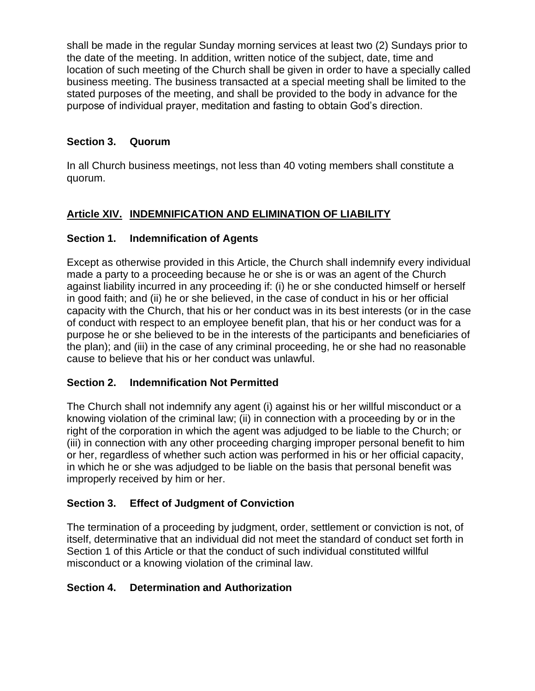shall be made in the regular Sunday morning services at least two (2) Sundays prior to the date of the meeting. In addition, written notice of the subject, date, time and location of such meeting of the Church shall be given in order to have a specially called business meeting. The business transacted at a special meeting shall be limited to the stated purposes of the meeting, and shall be provided to the body in advance for the purpose of individual prayer, meditation and fasting to obtain God's direction.

## **Section 3. Quorum**

In all Church business meetings, not less than 40 voting members shall constitute a quorum.

# **Article XIV. INDEMNIFICATION AND ELIMINATION OF LIABILITY**

## **Section 1. Indemnification of Agents**

Except as otherwise provided in this Article, the Church shall indemnify every individual made a party to a proceeding because he or she is or was an agent of the Church against liability incurred in any proceeding if: (i) he or she conducted himself or herself in good faith; and (ii) he or she believed, in the case of conduct in his or her official capacity with the Church, that his or her conduct was in its best interests (or in the case of conduct with respect to an employee benefit plan, that his or her conduct was for a purpose he or she believed to be in the interests of the participants and beneficiaries of the plan); and (iii) in the case of any criminal proceeding, he or she had no reasonable cause to believe that his or her conduct was unlawful.

## **Section 2. Indemnification Not Permitted**

The Church shall not indemnify any agent (i) against his or her willful misconduct or a knowing violation of the criminal law; (ii) in connection with a proceeding by or in the right of the corporation in which the agent was adjudged to be liable to the Church; or (iii) in connection with any other proceeding charging improper personal benefit to him or her, regardless of whether such action was performed in his or her official capacity, in which he or she was adjudged to be liable on the basis that personal benefit was improperly received by him or her.

# **Section 3. Effect of Judgment of Conviction**

The termination of a proceeding by judgment, order, settlement or conviction is not, of itself, determinative that an individual did not meet the standard of conduct set forth in Section 1 of this Article or that the conduct of such individual constituted willful misconduct or a knowing violation of the criminal law.

## **Section 4. Determination and Authorization**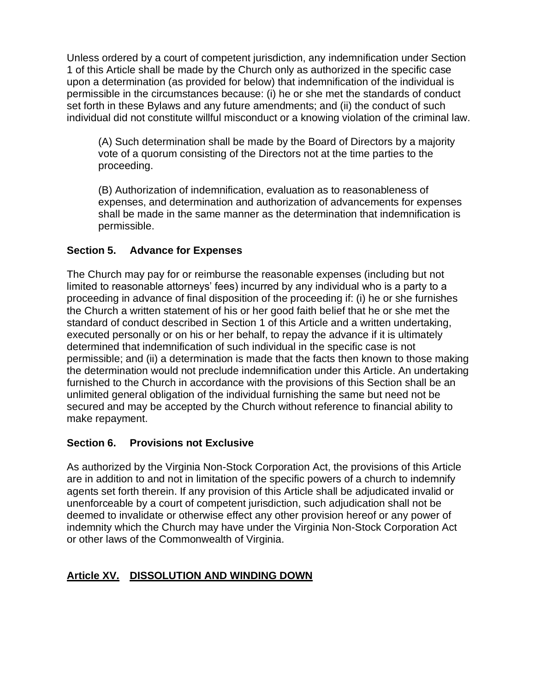Unless ordered by a court of competent jurisdiction, any indemnification under Section 1 of this Article shall be made by the Church only as authorized in the specific case upon a determination (as provided for below) that indemnification of the individual is permissible in the circumstances because: (i) he or she met the standards of conduct set forth in these Bylaws and any future amendments; and (ii) the conduct of such individual did not constitute willful misconduct or a knowing violation of the criminal law.

(A) Such determination shall be made by the Board of Directors by a majority vote of a quorum consisting of the Directors not at the time parties to the proceeding.

(B) Authorization of indemnification, evaluation as to reasonableness of expenses, and determination and authorization of advancements for expenses shall be made in the same manner as the determination that indemnification is permissible.

# **Section 5. Advance for Expenses**

The Church may pay for or reimburse the reasonable expenses (including but not limited to reasonable attorneys' fees) incurred by any individual who is a party to a proceeding in advance of final disposition of the proceeding if: (i) he or she furnishes the Church a written statement of his or her good faith belief that he or she met the standard of conduct described in Section 1 of this Article and a written undertaking, executed personally or on his or her behalf, to repay the advance if it is ultimately determined that indemnification of such individual in the specific case is not permissible; and (ii) a determination is made that the facts then known to those making the determination would not preclude indemnification under this Article. An undertaking furnished to the Church in accordance with the provisions of this Section shall be an unlimited general obligation of the individual furnishing the same but need not be secured and may be accepted by the Church without reference to financial ability to make repayment.

## **Section 6. Provisions not Exclusive**

As authorized by the Virginia Non-Stock Corporation Act, the provisions of this Article are in addition to and not in limitation of the specific powers of a church to indemnify agents set forth therein. If any provision of this Article shall be adjudicated invalid or unenforceable by a court of competent jurisdiction, such adjudication shall not be deemed to invalidate or otherwise effect any other provision hereof or any power of indemnity which the Church may have under the Virginia Non-Stock Corporation Act or other laws of the Commonwealth of Virginia.

# **Article XV. DISSOLUTION AND WINDING DOWN**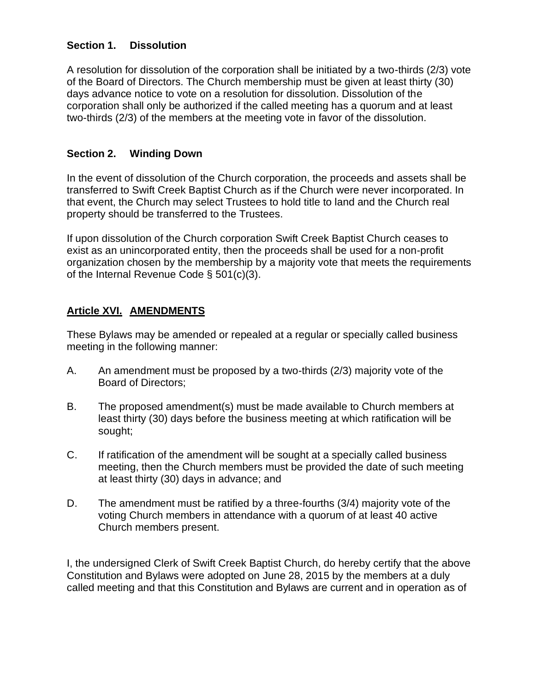## **Section 1. Dissolution**

A resolution for dissolution of the corporation shall be initiated by a two-thirds (2/3) vote of the Board of Directors. The Church membership must be given at least thirty (30) days advance notice to vote on a resolution for dissolution. Dissolution of the corporation shall only be authorized if the called meeting has a quorum and at least two-thirds (2/3) of the members at the meeting vote in favor of the dissolution.

## **Section 2. Winding Down**

In the event of dissolution of the Church corporation, the proceeds and assets shall be transferred to Swift Creek Baptist Church as if the Church were never incorporated. In that event, the Church may select Trustees to hold title to land and the Church real property should be transferred to the Trustees.

If upon dissolution of the Church corporation Swift Creek Baptist Church ceases to exist as an unincorporated entity, then the proceeds shall be used for a non-profit organization chosen by the membership by a majority vote that meets the requirements of the Internal Revenue Code § 501(c)(3).

## **Article XVI. AMENDMENTS**

These Bylaws may be amended or repealed at a regular or specially called business meeting in the following manner:

- A. An amendment must be proposed by a two-thirds (2/3) majority vote of the Board of Directors;
- B. The proposed amendment(s) must be made available to Church members at least thirty (30) days before the business meeting at which ratification will be sought;
- C. If ratification of the amendment will be sought at a specially called business meeting, then the Church members must be provided the date of such meeting at least thirty (30) days in advance; and
- D. The amendment must be ratified by a three-fourths (3/4) majority vote of the voting Church members in attendance with a quorum of at least 40 active Church members present.

I, the undersigned Clerk of Swift Creek Baptist Church, do hereby certify that the above Constitution and Bylaws were adopted on June 28, 2015 by the members at a duly called meeting and that this Constitution and Bylaws are current and in operation as of